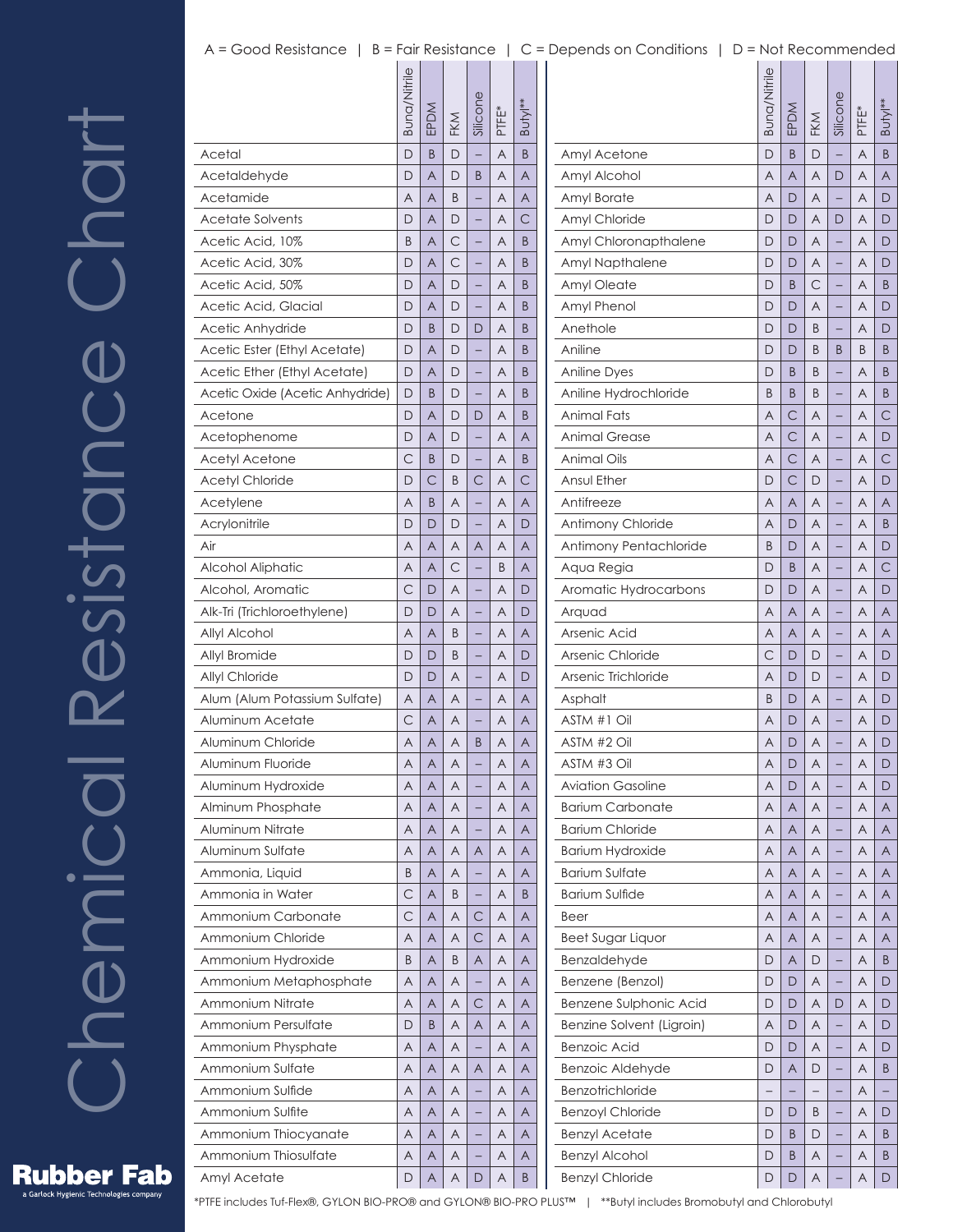## A = Good Resistance | B = Fair Resistance | C = Depends on Conditions | D = Not Recommended

 $\overline{\phantom{a}}$ 

|                                 | Buna/Nitrile | EPDM | FKM | Silicone                 | PTFE* | Butyl** |
|---------------------------------|--------------|------|-----|--------------------------|-------|---------|
| Acetal                          | D            | B    | D   |                          | A     | B       |
| Acetaldehyde                    | D            | A    | D   | B                        | A     | A       |
| Acetamide                       | Α            | Α    | B   |                          | A     | Α       |
| <b>Acetate Solvents</b>         | D            | A    | D   |                          | A     | C       |
| Acetic Acid, 10%                | B            | A    | С   |                          | A     | B       |
| Acetic Acid, 30%                | D            | Α    | C   |                          | A     | Β       |
| Acetic Acid, 50%                | D            | A    | D   |                          | A     | B       |
| Acetic Acid, Glacial            | D            | Α    | D   |                          | A     | Β       |
| Acetic Anhydride                | D            | B    | D   | D                        | A     | Β       |
| Acetic Ester (Ethyl Acetate)    | D            | A    | D   |                          | A     | B       |
| Acetic Ether (Ethyl Acetate)    | D            | Α    | D   |                          | A     | B       |
| Acetic Oxide (Acetic Anhydride) | D            | B    | D   |                          | A     | Β       |
| Acetone                         | D            | A    | D   | D                        | A     | B       |
| Acetophenome                    | D            | Α    | D   |                          | A     | A       |
| <b>Acetyl Acetone</b>           | С            | B    | D   |                          | A     | B       |
| <b>Acetyl Chloride</b>          | D            | С    | B   | C                        | A     | С       |
| Acetylene                       | A            | B    | A   |                          | A     | A       |
| Acrylonitrile                   | D            | D    | D   |                          | A     | D       |
| Air                             | A            | A    | A   | A                        | A     | A       |
| Alcohol Aliphatic               | A            | A    | С   |                          | B     | A       |
| Alcohol, Aromatic               | С            | D    | Α   |                          | A     | D       |
| Alk-Tri (Trichloroethylene)     | D            | D    | A   |                          | A     | D       |
| Allyl Alcohol                   | A            | A    | B   |                          | A     | Α       |
| Allyl Bromide                   | D            | D    | B   |                          | A     | D       |
| Allyl Chloride                  | D            | D    | A   |                          | A     | D       |
| Alum (Alum Potassium Sulfate)   | A            | Α    | A   |                          | Α     | A       |
| Aluminum Acetate                | С            | Α    | Α   |                          | Α     | Α       |
| Aluminum Chloride               | A            | A    | A   | B                        | Α     | A       |
| Aluminum Fluoride               | Α            | Α    | Α   |                          | Α     | A       |
| Aluminum Hydroxide              | Α            | Α    | Α   |                          | Α     | Α       |
| Alminum Phosphate               | A            | A    | A   | -                        | Α     | A       |
| Aluminum Nitrate                | Α            | Α    | A   | -                        | A     | Α       |
| Aluminum Sulfate                | Α            | Α    | Α   | Α                        | Α     | Α       |
| Ammonia, Liquid                 | B            | A    | A   |                          | A     | A       |
| Ammonia in Water                | C            | Α    | Β   | -                        | Α     | B       |
| Ammonium Carbonate              | C            | Α    | Α   | С                        | Α     | Α       |
| Ammonium Chloride               | A            | A    | Α   | С                        | Α     | A       |
| Ammonium Hydroxide              | Β            | Α    | B   | Α                        | Α     | Α       |
| Ammonium Metaphosphate          | Α            | Α    | A   | $\overline{a}$           | Α     | Α       |
| Ammonium Nitrate                | A            | A    | Α   | С                        | Α     | A       |
| Ammonium Persulfate             | D            | B    | Α   | Α                        | Α     | Α       |
| Ammonium Physphate              | A            | Α    | Α   |                          | Α     | Α       |
| Ammonium Sulfate                | A            | A    | Α   | A                        | Α     | A       |
| Ammonium Sulfide                | Α            | Α    | Α   | -                        | Α     | Α       |
| Ammonium Sulfite                | Α            | Α    | Α   |                          | Α     | Α       |
| Ammonium Thiocyanate            | A            | A    | A   | $\overline{\phantom{0}}$ | A     | A       |
| Ammonium Thiosulfate            | Α            | Α    | A   | -                        | Α     | Α       |
| Amyl Acetate                    | D            | Α    | A   | D                        | Α     | B       |

|                           | Buna/Nitrile | EPDM           | FKM          | Silicone | PTFE <sup>*</sup> | Butyl** |
|---------------------------|--------------|----------------|--------------|----------|-------------------|---------|
| Amyl Acetone              | D            | B              | D            |          | A                 | B       |
| Amyl Alcohol              | A            | $\overline{A}$ | A            | D        | Α                 | A       |
| Amyl Borate               | Α            | D              | Α            |          | Α                 | D       |
| Amyl Chloride             | D            | D              | Α            | D        | Α                 | D       |
| Amyl Chloronapthalene     | D            | D              | A            |          | Α                 | D       |
| Amyl Napthalene           | D            | D              | Α            |          | Α                 | D       |
| Amyl Oleate               | D            | B              | С            |          | Α                 | B       |
| Amyl Phenol               | D            | D              | Α            |          | Α                 | D       |
| Anethole                  | D            | D              | B            |          | Α                 | D       |
| Aniline                   | D            | D              | B            | B        | B                 | B       |
| <b>Aniline Dyes</b>       | D            | B              | B            |          | Α                 | B       |
| Aniline Hydrochloride     | B            | B              | B            |          | Α                 | B       |
| Animal Fats               | A            | С              | Α            |          | Α                 | С       |
| <b>Animal Grease</b>      | Α            | $\mathsf{C}$   | Α            |          | Α                 | D       |
| <b>Animal Oils</b>        | Α            | С              | Α            |          | Α                 | С       |
| Ansul Ether               | D            | С              | D            |          | Α                 | D       |
| Antifreeze                | Α            | A              | A            |          | Α                 | Α       |
| Antimony Chloride         | Α            | D              | A            |          | Α                 | B       |
| Antimony Pentachloride    | B            | D              | Α            |          | Α                 | D       |
| Aqua Regia                | D            | B              | Α            |          | Α                 | С       |
| Aromatic Hydrocarbons     | D            | D              | A            |          | Α                 | D       |
| Arquad                    | Α            | A              | Α            |          | Α                 | A       |
| Arsenic Acid              | Α            | A              | A            |          | Α                 | Α       |
| Arsenic Chloride          | С            | D              | D            |          | Α                 | D       |
| Arsenic Trichloride       | A            | D              | D            |          | Α                 | D       |
| Asphalt                   | B            | D              | Α            |          | Α                 | D       |
| ASTM #1 Oil               | Α            | D              | A            |          | Α                 | D       |
| ASTM #2 Oil               | A            | D              | Α            |          | Α                 | D       |
| ASTM #3 Oil               | Α            | D              | Α            |          | Α                 | D       |
| <b>Aviation Gasoline</b>  | Α            | D              | Α            |          | Α                 | D       |
| <b>Barium Carbonate</b>   | A            | A              | Α            |          | Α                 | A       |
| <b>Barium Chloride</b>    | Α            | Α              | Α            | -        | A                 | Α       |
| Barium Hydroxide          | Α            | Α              | Α            |          | Α                 | Α       |
| <b>Barium Sulfate</b>     | Α            | A              | Α            |          | Α                 | A       |
| Barium Sulfide            | Α            | Α              | Α            | -        | Α                 | Α       |
| Beer                      | Α            | Α              | Α            |          | Α                 | Α       |
| Beet Sugar Liquor         | Α            | A              | Α            |          | Α                 | A       |
| Benzaldehyde              | D            | Α              | D            | -        | A                 | B       |
| Benzene (Benzol)          | D            | D              | Α            |          | Α                 | D       |
| Benzene Sulphonic Acid    | D            | D              | Α            | D        | Α                 | D       |
| Benzine Solvent (Ligroin) | Α            | D              | Α            |          | Α                 | D       |
| Benzoic Acid              | D            | D              | Α            |          | Α                 | D       |
| Benzoic Aldehyde          | D            | A              | D            |          | Α                 | B       |
| Benzotrichloride          | <sup>-</sup> | -              | <sup>-</sup> | -        | Α                 | -       |
| <b>Benzoyl Chloride</b>   | D            | D              | B            |          | Α                 | D       |
| <b>Benzyl Acetate</b>     | D            | B              | D            |          | Α                 | B       |
| <b>Benzyl Alcohol</b>     | D            | B              | Α            |          | Α                 | B       |
| <b>Benzyl Chloride</b>    | D            | D              | A            |          | Α                 | D       |

**Rubber Fab** s Garlock Hygienic Technologies company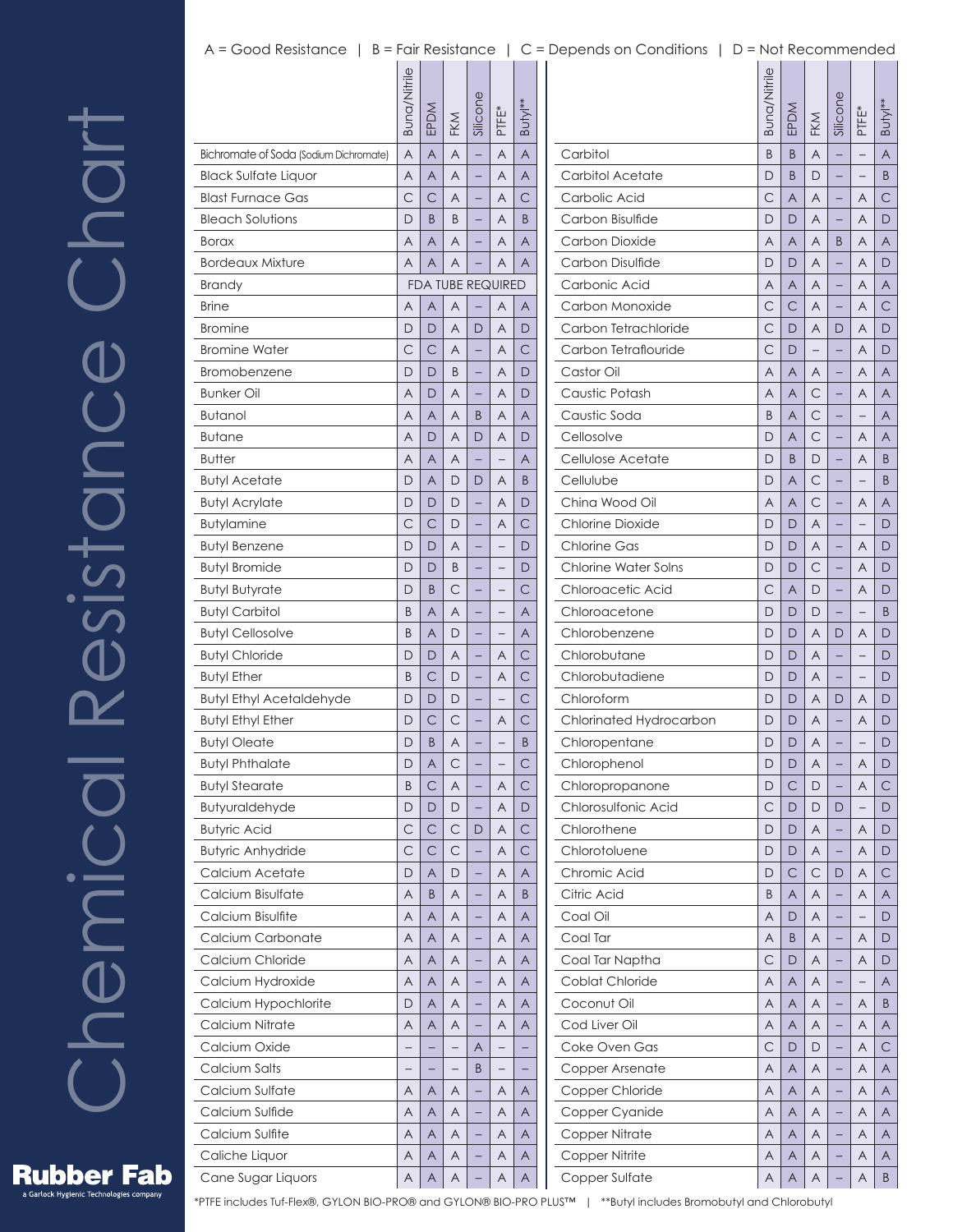## A = Good Resistance | B = Fair Resistance | C = Depends on Conditions | D = Not Recommended

|                                        | Buna/Nitrile | EPDM                     | FKM                      | Silicone                 | PTFE*                    | Butyl**        |  |
|----------------------------------------|--------------|--------------------------|--------------------------|--------------------------|--------------------------|----------------|--|
| Bichromate of Soda (Sodium Dichromate) | A            | A                        | $\overline{A}$           | $\overline{a}$           | A                        | $\overline{A}$ |  |
| <b>Black Sulfate Liquor</b>            | A            | A                        | A                        |                          | A                        | A              |  |
| <b>Blast Furnace Gas</b>               | C            | C                        | A                        |                          | Α                        | C              |  |
| <b>Bleach Solutions</b>                | D            | B                        | B                        |                          | A                        | B              |  |
| Borax                                  | A            | A                        | A                        |                          | A                        | A              |  |
| <b>Bordeaux Mixture</b>                | A            | A                        | A                        |                          | A                        | A              |  |
| Brandy                                 |              | <b>FDA TUBE REQUIRED</b> |                          |                          |                          |                |  |
| <b>Brine</b>                           | A            | A                        | A                        |                          | A                        | A              |  |
| <b>Bromine</b>                         | D            | D                        | A                        | D                        | Α                        | D              |  |
| <b>Bromine Water</b>                   | C            | C                        | A                        |                          | A                        | C              |  |
| Bromobenzene                           | D            | D                        | B                        |                          | A                        | D              |  |
| <b>Bunker Oil</b>                      | A            | D                        | A                        |                          | Α                        | D              |  |
| <b>Butanol</b>                         | A            | A                        | A                        | B                        | A                        | A              |  |
| Butane                                 | A            | D                        | A                        | D                        | A                        | D              |  |
| <b>Butter</b>                          | A            | A                        | A                        |                          |                          | Α              |  |
| <b>Butyl Acetate</b>                   | D            | A                        | D                        | D                        | A                        | B              |  |
| <b>Butyl Acrylate</b>                  | D            | D                        | D                        |                          | A                        | D              |  |
| Butylamine                             | C            | $\mathsf{C}$             | D                        |                          | Α                        | C              |  |
| Butyl Benzene                          | D            | D                        | A                        |                          |                          | D              |  |
| <b>Butyl Bromide</b>                   | D            | D                        | B                        |                          |                          | D              |  |
| Butyl Butyrate                         | D            | B                        | C                        |                          |                          | С              |  |
| <b>Butyl Carbitol</b>                  | B            | A                        | A                        |                          | $\overline{\phantom{0}}$ | A              |  |
| <b>Butyl Cellosolve</b>                | B            | A                        | D                        |                          |                          | A              |  |
| <b>Butyl Chloride</b>                  | D            | D                        | A                        |                          | Α                        | $\mathsf{C}$   |  |
| <b>Butyl Ether</b>                     | B            | C                        | D                        |                          | A                        | $\mathsf{C}$   |  |
| <b>Butyl Ethyl Acetaldehyde</b>        | D            | D                        | D                        |                          |                          | $\mathsf{C}$   |  |
| <b>Butyl Ethyl Ether</b>               | D            | $\mathsf{C}$             | C                        |                          | Α                        | $\mathsf{C}$   |  |
| Butyl Oleate                           | D            | B                        | A                        |                          |                          | B              |  |
| Butyl Phthalate                        | D            | A                        | C                        |                          |                          | $\mathsf{C}$   |  |
| <b>Butyl Stearate</b>                  | B            | $\mathsf{C}$             | A                        |                          | Α                        | $\mathsf{C}$   |  |
| <b>Butyuraldehyde</b>                  | D            | D                        | D                        | -                        | A                        | D              |  |
| <b>Butyric Acid</b>                    | C            | $\mathsf{C}$             | $\subset$                | D                        | Α                        | $\mathsf{C}$   |  |
| <b>Butyric Anhydride</b>               | C            | $\mathsf{C}$             | $\mathsf{C}$             |                          | A                        | $\mathsf{C}$   |  |
| Calcium Acetate                        | D            | A                        | D                        | -                        | A                        | A              |  |
| Calcium Bisulfate                      | Α            | B                        | Α                        | -                        | A                        | B              |  |
| Calcium Bisulfite                      | Α            | Α                        | Α                        |                          | Α                        | Α              |  |
| Calcium Carbonate                      | A            | A                        | Α                        | -                        | Α                        | A              |  |
| Calcium Chloride                       | Α            | A                        | A                        | -                        | A                        | Α              |  |
| Calcium Hydroxide                      | Α            | A                        | A                        | $\overline{a}$           | Α                        | Α              |  |
| Calcium Hypochlorite                   | D            | A                        | A                        | -                        | Α                        | A              |  |
| Calcium Nitrate                        | Α            | Α                        | Α                        | -                        | Α                        | A              |  |
| Calcium Oxide                          |              |                          |                          | Α                        |                          |                |  |
| Calcium Salts                          | -            |                          | $\overline{\phantom{0}}$ | B                        | $\overline{\phantom{0}}$ |                |  |
| Calcium Sulfate                        | Α            | A                        | A                        | -                        | A                        | Α              |  |
| Calcium Sulfide                        | Α            | A                        | A                        | $\overline{\phantom{0}}$ | A                        | Α              |  |
| Calcium Sulfite                        | A            | A                        | A                        | -                        | Α                        | A              |  |
| Caliche Liquor                         | Α            | A                        | Α                        | -                        | Α                        | Α              |  |
| Cane Sugar Liquors                     | Α            | A                        | A                        |                          | Α                        | $\overline{A}$ |  |
|                                        |              |                          |                          |                          |                          |                |  |

|                             | Buna/Nitrile | EPDM | FKM                     | Silicone                 | PTFE <sup>*</sup> | Butyl** |
|-----------------------------|--------------|------|-------------------------|--------------------------|-------------------|---------|
| Carbitol                    | B            | B    | A                       |                          |                   | A       |
| Carbitol Acetate            | D            | B    | D                       |                          |                   | B       |
| Carbolic Acid               | С            | A    | Α                       |                          | Α                 | C       |
| Carbon Bisulfide            | D            | D    | A                       |                          | Α                 | D       |
| Carbon Dioxide              | Α            | Α    | Α                       | B                        | A                 | Α       |
| Carbon Disulfide            | D            | D    | A                       |                          | Α                 | D       |
| Carbonic Acid               | A            | A    | A                       |                          | Α                 | Α       |
| Carbon Monoxide             | С            | С    | Α                       | —                        | Α                 | С       |
| Carbon Tetrachloride        | С            | D    | A                       | D                        | Α                 | D       |
| Carbon Tetraflouride        | С            | D    |                         |                          | Α                 | D       |
| Castor Oil                  | Α            | Α    | Α                       | $\overline{\phantom{0}}$ | Α                 | Α       |
| Caustic Potash              | A            | A    | C                       |                          | Α                 | Α       |
| Caustic Soda                | B            | A    | С                       |                          |                   | Α       |
| Cellosolve                  | D            | A    | С                       | —                        | Α                 | Α       |
| Cellulose Acetate           | D            | B    | D                       |                          | Α                 | B       |
| Cellulube                   | D            | A    | С                       |                          |                   | B       |
| China Wood Oil              | Α            | Α    | С                       | —                        | Α                 | Α       |
| <b>Chlorine Dioxide</b>     | D            | D    | A                       |                          |                   | D       |
| Chlorine Gas                | D            | D    | Α                       |                          | A                 | D       |
| <b>Chlorine Water Solns</b> | D            | D    | С                       | —                        | Α                 | D       |
| Chloroacetic Acid           | С            | A    | D                       |                          | Α                 | D       |
| Chloroacetone               | D            | D    | D                       |                          |                   | B       |
| Chlorobenzene               | D            | D    | Α                       | D                        | A                 | D       |
| Chlorobutane                | D            | D    | A                       |                          |                   | D       |
| Chlorobutadiene             | D            | D    | Α                       |                          |                   | D       |
| Chloroform                  | D            | D    | Α                       | D                        | A                 | D       |
| Chlorinated Hydrocarbon     | D            | D    | A                       |                          | Α                 | D       |
| Chloropentane               | D            | D    | Α                       |                          |                   | D       |
|                             | D            | D    | A                       |                          | Α                 | D       |
| Chlorophenol                |              |      |                         |                          |                   |         |
| Chloropropanone             | D            | C    | D                       |                          | Α                 | С       |
| Chlorosulfonic Acid         | С            | D    | D                       | D                        |                   | D       |
| Chlorothene                 | D            | D    | Α                       | -                        | Α                 | D       |
| Chlorotoluene               | D            | D    | Α                       |                          | Α                 | D       |
| Chromic Acid                | D            | С    | С                       | D                        | Α                 | С       |
| Citric Acid                 | Β            | Α    | Α                       |                          | Α                 | Α       |
| Coal Oil                    | Α            | D    | Α                       |                          |                   | D       |
| Coal Tar                    | Α            | B    | Α                       |                          | Α                 | D       |
| Coal Tar Naptha             | С            | D    | Α                       | -                        | Α                 | D       |
| Coblat Chloride             | Α            | A    | Α                       |                          |                   | Α       |
| Coconut Oil                 | Α            | Α    | Α                       |                          | Α                 | B       |
| Cod Liver Oil               | Α            | Α    | Α                       |                          | Α                 | Α       |
| Coke Oven Gas               | С            | D    | D                       |                          | Α                 | С       |
| Copper Arsenate             | Α            | Α    | Α                       |                          | Α                 | Α       |
| Copper Chloride             | Α            | Α    | Α                       | -                        | Α                 | Α       |
| Copper Cyanide              | Α            | A    | Α                       |                          | Α                 | Α       |
| Copper Nitrate              | Α            | Α    | Α                       |                          | Α                 | Α       |
| Copper Nitrite              | Α            | Α    | Α                       |                          | Α                 | Α       |
| Copper Sulfate              | A            | A    | $\overline{\mathsf{A}}$ |                          | $\overline{A}$    | B       |

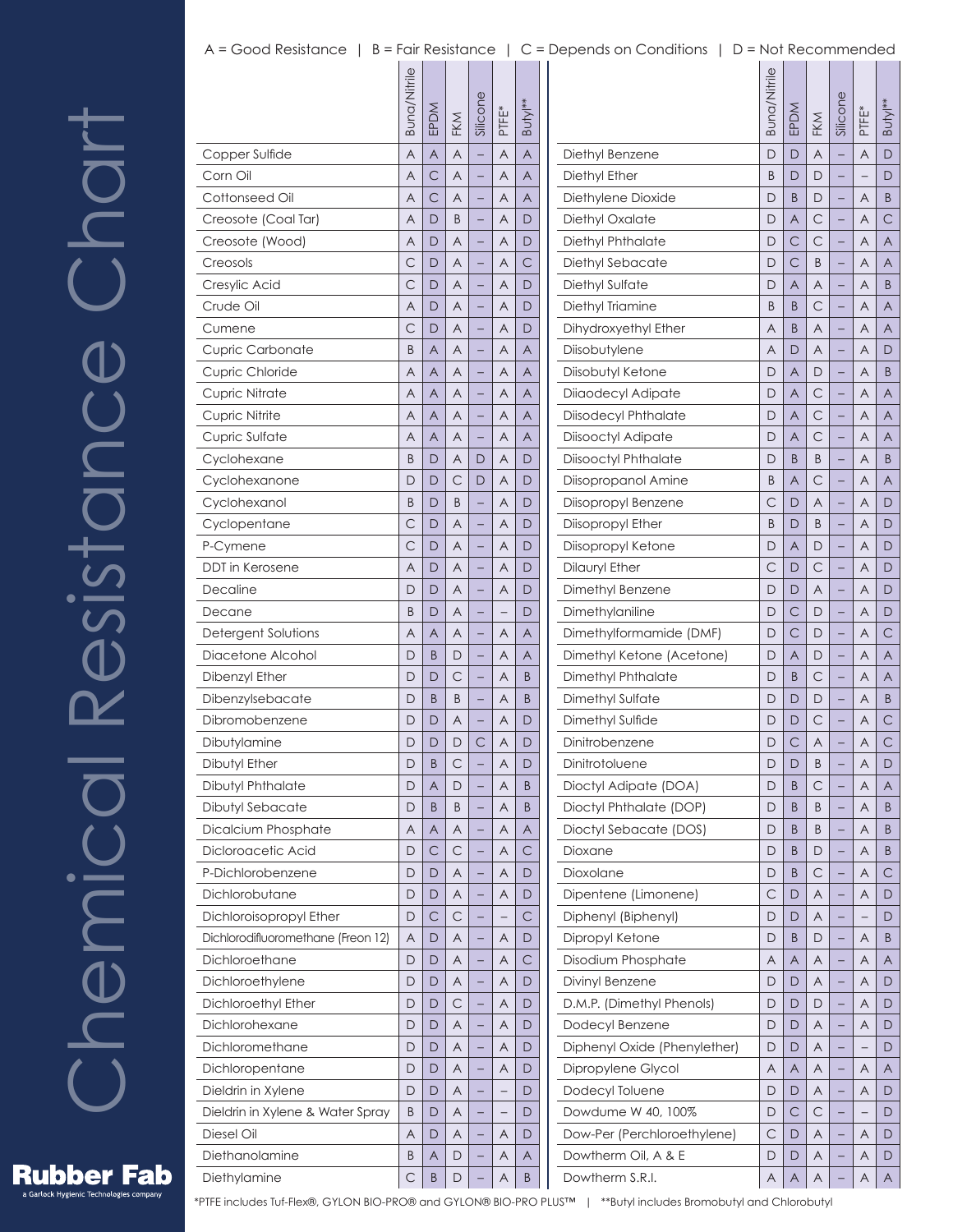# Chemical Resistance Chart Resistance Chart Chemical

|                                    | Buna/Nitrile | EPDM           | FKM          | Silicone | PTFE*        | Butyl**      |  |
|------------------------------------|--------------|----------------|--------------|----------|--------------|--------------|--|
| Copper Sulfide                     | A            | A              | A            |          | A            | A            |  |
| Corn Oil                           | A            | $\mathsf{C}$   | A            |          | A            | A            |  |
| Cottonseed Oil                     | A            | $\mathsf{C}$   | A            |          | Α            | A            |  |
| Creosote (Coal Tar)                | A            | D              | B            |          | A            | D            |  |
| Creosote (Wood)                    | A            | D              | A            |          | A            | D            |  |
| Creosols                           | $\mathsf{C}$ | D              | A            |          | A            | $\mathsf{C}$ |  |
| Cresylic Acid                      | C            | D              | A            |          | A            | D            |  |
| Crude Oil                          | A            | D              | A            |          | A            | D            |  |
| Cumene                             | C            | D              | A            |          | Α            | D            |  |
| <b>Cupric Carbonate</b>            | B            | A              | A            |          | A            | A            |  |
| Cupric Chloride                    | A            | A              | A            |          | A            | A            |  |
| <b>Cupric Nitrate</b>              | A            | A              | A            |          | A            | A            |  |
| <b>Cupric Nitrite</b>              | A            | $\overline{A}$ | A            |          | A            | A            |  |
| Cupric Sulfate                     | A            | A              | A            |          | A            | A            |  |
| Cyclohexane                        | B            | D              | Α            | D        | Α            | D            |  |
| Cyclohexanone                      | D            | D              | C            | D        | A            | D            |  |
| Cyclohexanol                       | B            | D              | B            |          | A            | D            |  |
| Cyclopentane                       | C            | D              | A            |          | A            | D            |  |
| P-Cymene                           | С            | D              | A            |          | A            | D            |  |
| DDT in Kerosene                    | A            | D              | A            |          | A            | D            |  |
| Decaline                           | D            | D              | A            |          | Α            | D            |  |
| Decane                             | B            | D              | A            |          |              | D            |  |
| Detergent Solutions                | A            | A              | A            |          | A            | A            |  |
| Diacetone Alcohol                  | D            | B              | D            |          | A            | A            |  |
| Dibenzyl Ether                     | D            | D              | С            |          | A            | B            |  |
| Dibenzylsebacate                   | D            | B              | B            |          | A            | B            |  |
| Dibromobenzene                     | D            | D              | A            |          | Α            | D            |  |
| Dibutylamine                       | D            | D              | D            | С        | A            | D            |  |
| Dibutyl Ether                      | D            | B              | С            |          | Α            | D            |  |
| Dibutyl Phthalate                  | D            | A              | D            |          | Α            | B            |  |
| Dibutyl Sebacate                   | D            | B              | B            | -        | A            | B            |  |
| Dicalcium Phosphate                | Α            | A              | Α            |          | Α            | A            |  |
| Dicloroacetic Acid                 | D            | $\mathsf{C}$   | $\mathsf{C}$ |          | Α            | C            |  |
| P-Dichlorobenzene                  | D            | D              | A            | -        | A            | D            |  |
| Dichlorobutane                     | D            | D              | Α            |          | Α            | D            |  |
| Dichloroisopropyl Ether            | D            | С              | C            |          |              | $\mathsf{C}$ |  |
| Dichlorodifluoromethane (Freon 12) | A            | D              | Α            | -        | Α            | D            |  |
| Dichloroethane                     | D            | D              | Α            | -        | Α            | С            |  |
| Dichloroethylene                   | D            | D              | Α            |          | Α            | D            |  |
| Dichloroethyl Ether                | D            | D              | С            | -        | Α            | D            |  |
| Dichlorohexane                     | D            | D              | Α            |          | Α            | D            |  |
| Dichloromethane                    | D            | D              | Α            |          | Α            | D            |  |
| Dichloropentane                    | D            | D              | Α            |          | A            | D            |  |
| Dieldrin in Xylene                 | D            | D              | Α            | -        | <sup>-</sup> | D            |  |
| Dieldrin in Xylene & Water Spray   | B            | D              | Α            |          |              | D            |  |
| Diesel Oil                         | A            | D              | A            | -        | A            | D            |  |
| Diethanolamine                     | B            | A              | D            |          | Α            | Α            |  |
| Diethylamine                       | С            | Β              | D            |          | Α            | B            |  |
|                                    |              |                |              |          |              |              |  |

|                              | Buna/Nitrile | EPDM        | FKM     | Silicone | PTFE*                    | Butyl**      |
|------------------------------|--------------|-------------|---------|----------|--------------------------|--------------|
| Diethyl Benzene              | D            | D           | A       |          | A                        | D            |
| Diethyl Ether                | B            | D           | D       |          |                          | D            |
| Diethylene Dioxide           | D            | B           | D       | -        | Α                        | B            |
| Diethyl Oxalate              | D            | A           | С       |          | Α                        | C            |
| Diethyl Phthalate            | D            | С           | С       |          | A                        | A            |
| Diethyl Sebacate             | D            | С           | B       | -        | Α                        | A            |
| Diethyl Sulfate              | D            | A           | A       |          | Α                        | B            |
| Diethyl Triamine             | B            | B           | С       |          | A                        | A            |
| Dihydroxyethyl Ether         | A            | B           | A       | -        | Α                        | A            |
| Diisobutylene                | A            | D           | A       |          | Α                        | D            |
| Diisobutyl Ketone            | D            | A           | D       |          | A                        | B            |
| Diiaodecyl Adipate           | D            | A           | С       | -        | Α                        | Α            |
| <b>Diisodecyl Phthalate</b>  | D            | A           | С       |          | Α                        | A            |
| Diisooctyl Adipate           | D            | A           | С       |          | A                        | A            |
| Diisooctyl Phthalate         | D            | B           | B       | -        | Α                        | B            |
| Diisopropanol Amine          | B            | A           | С       |          | Α                        | A            |
| Diisopropyl Benzene          | С            | D           | A       |          | A                        | D            |
| Diisopropyl Ether            | B            | D           | B       | -        | Α                        | D            |
| Diisopropyl Ketone           | D            | A           | D       |          | Α                        | D            |
| Dilauryl Ether               | С            | D           | С       |          | A                        | D            |
| Dimethyl Benzene             | D            | D           | A       | -        | Α                        | D            |
| Dimethylaniline              | D            | С           | D       |          | Α                        | D            |
| Dimethylformamide (DMF)      | D            | С           | D       |          | A                        | С            |
| Dimethyl Ketone (Acetone)    | D            | A           | D       | -        | Α                        | Α            |
| Dimethyl Phthalate           | D            | B           | С       |          | Α                        | A            |
| Dimethyl Sulfate             | D            | D           | D       |          | A                        | B            |
| Dimethyl Sulfide             | D            | D           | С       | -        | Α                        | С            |
| Dinitrobenzene               | D            | С           | Α       |          | Α                        | C            |
| Dinitrotoluene               | $\Box$       | $\mathsf D$ | $\sf B$ |          | $\overline{\mathsf{A}}$  | $\mathsf{D}$ |
| Dioctyl Adipate (DOA)        | D            | B           | С       | -        | Α                        | Α            |
| Dioctyl Phthalate (DOP)      | D            | B           | B       |          | Α                        | B            |
| Dioctyl Sebacate (DOS)       | D            | B           | B       |          | Α                        | B            |
| Dioxane                      | D            | B           | D       | -        | Α                        | B            |
| Dioxolane                    | D            | B           | С       |          | Α                        | $\mathsf{C}$ |
| Dipentene (Limonene)         | С            | D           | Α       |          | A                        | D            |
| Diphenyl (Biphenyl)          | D            | D           | Α       | -        | $\overline{\phantom{0}}$ | D            |
| Dipropyl Ketone              | D            | B           | D       |          | Α                        | Β            |
| Disodium Phosphate           | Α            | A           | Α       | ÷        | Α                        | A            |
| Divinyl Benzene              | D            | D           | Α       | -        | Α                        | D            |
| D.M.P. (Dimethyl Phenols)    | D            | D           | D       |          | Α                        | D            |
| Dodecyl Benzene              | D            | D           | Α       |          | A                        | D            |
| Diphenyl Oxide (Phenylether) | D            | D           | Α       | -        | $\overline{\phantom{0}}$ | D            |
| Dipropylene Glycol           | Α            | A           | Α       |          | Α                        | Α            |
| Dodecyl Toluene              | D            | D           | Α       | -        | A                        | D            |
| Dowdume W 40, 100%           | D            | С           | С       | -        | $\overline{\phantom{0}}$ | D            |
| Dow-Per (Perchloroethylene)  | C            | D           | Α       |          | Α                        | D            |
| Dowtherm Oil, A & E          | D            | D           | Α       |          | Α                        | D            |
| Dowtherm S.R.I.              | A            | A           | A       |          | A                        | A            |

## A = Good Resistance | B = Fair Resistance | C = Depends on Conditions | D = Not Recommended

**Rubber Fab** s Garlock Hygienic Technologies company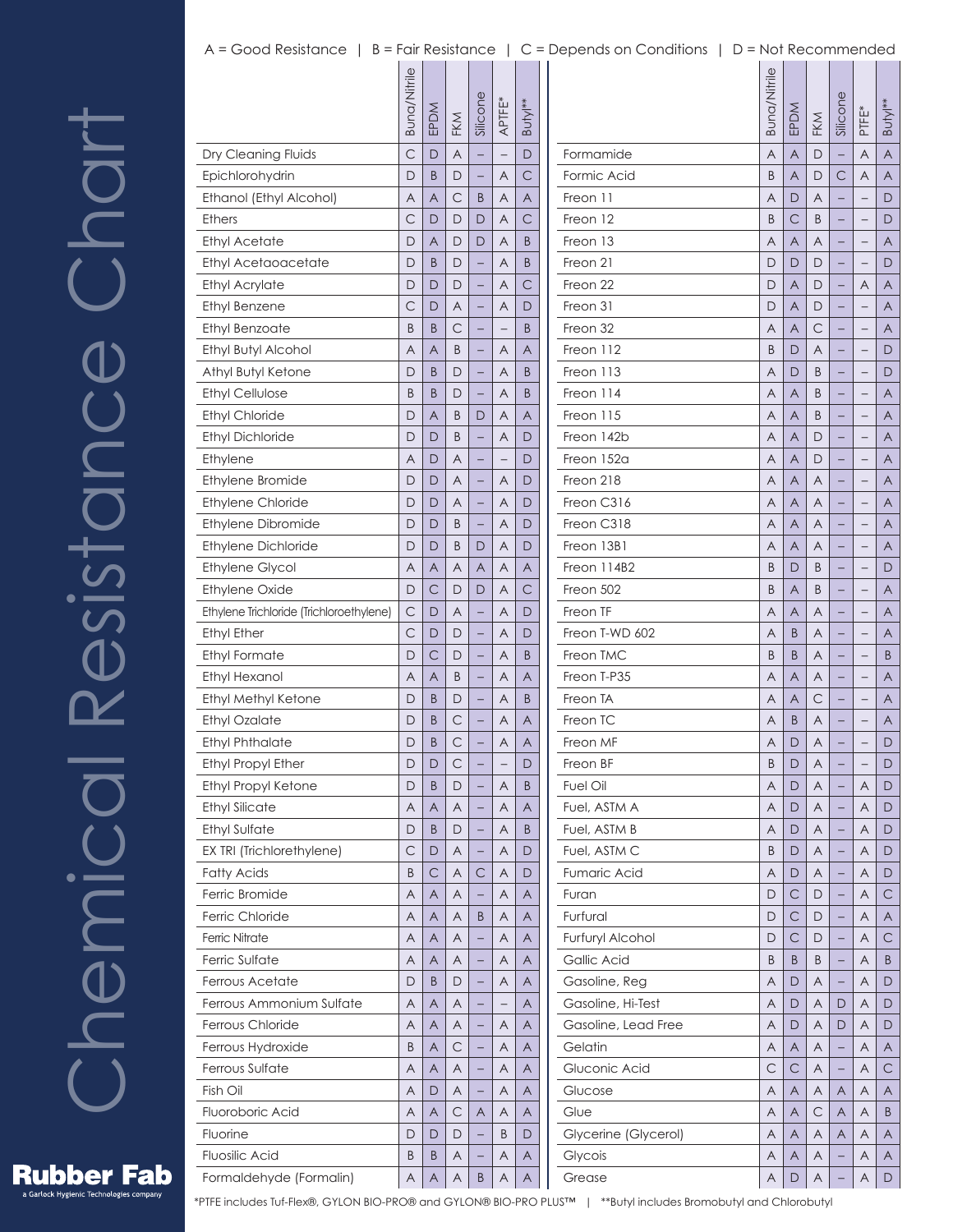## Chemical Resistance Chart UDUT<br>O Resistance Chemical

|                                          | Buna/Nitrile | EPDM | FKM | Silicone | APTFE* | Butyl** |
|------------------------------------------|--------------|------|-----|----------|--------|---------|
| Dry Cleaning Fluids                      | Ć            | D    | A   |          |        | D       |
| Epichlorohydrin                          | D            | B    | D   |          | Α      | С       |
| Ethanol (Ethyl Alcohol)                  | Α            | Α    | С   | B        | Α      | Α       |
| <b>Ethers</b>                            | С            | D    | D   | D        | A      | С       |
| <b>Ethyl Acetate</b>                     | D            | A    | D   | D        | A      | B       |
| Ethyl Acetaoacetate                      | D            | B    | D   |          | Α      | B       |
| <b>Ethyl Acrylate</b>                    | D            | D    | D   |          | A      | С       |
| Ethyl Benzene                            | С            | D    | Α   | -        | Α      | D       |
| Ethyl Benzoate                           | B            | B    | С   |          |        | B       |
| Ethyl Butyl Alcohol                      | A            | A    | B   |          | Α      | A       |
| Athyl Butyl Ketone                       | D            | B    | D   | -        | Α      | Β       |
| <b>Ethyl Cellulose</b>                   | B            | B    | D   |          | Α      | B       |
| <b>Ethyl Chloride</b>                    | D            | A    | B   | D        | A      | A       |
| <b>Ethyl Dichloride</b>                  | D            | D    | B   | -        | Α      | D       |
| Ethylene                                 | Α            | D    | Α   |          |        | D       |
| Ethylene Bromide                         | D            | D    | A   |          | Α      | D       |
| <b>Ethylene Chloride</b>                 | D            | D    | Α   | -        | Α      | D       |
| Ethylene Dibromide                       | D            | D    | B   |          | Α      | D       |
| Ethylene Dichloride                      | D            | D    | B   | D        | A      | D       |
| <b>Ethylene Glycol</b>                   | Α            | A    | Α   | Α        | Α      | Α       |
| <b>Ethylene Oxide</b>                    | D            | С    | D   | D        | Α      | С       |
| Ethylene Trichloride (Trichloroethylene) | С            | D    | A   |          | A      | D       |
| <b>Ethyl Ether</b>                       | С            | D    | D   | -        | Α      | D       |
| Ethyl Formate                            | D            | С    | D   |          | Α      | B       |
| Ethyl Hexanol                            | Α            | A    | B   |          | A      | A       |
| Ethyl Methyl Ketone                      | D            | B    | D   | -        | Α      | B       |
| Ethyl Ozalate                            | D            | B    | С   |          | Α      | A       |
| <b>Ethyl Phthalate</b>                   | D            | B    | С   |          | Α      | A       |
| Ethyl Propyl Ether                       | D            | D    | C   |          |        | D       |
| <b>Ethyl Propyl Ketone</b>               | D            | Β    | D   |          | Α      | B       |
| <b>Ethyl Silicate</b>                    | A            | A    | A   | -        | A      | A       |
| <b>Ethyl Sulfate</b>                     | D            | B    | D   | -        | Α      | B       |
| EX TRI (Trichlorethylene)                | С            | D    | Α   |          | Α      | D       |
| <b>Fatty Acids</b>                       | B            | С    | Α   | С        | Α      | D       |
| Ferric Bromide                           | Α            | A    | Α   | -        | Α      | Α       |
| Ferric Chloride                          | Α            | Α    | Α   | B        | Α      | Α       |
| <b>Ferric Nitrate</b>                    | Α            | A    | Α   | -        | Α      | A       |
| Ferric Sulfate                           | Α            | Α    | Α   | -        | Α      | Α       |
| Ferrous Acetate                          | D            | B    | D   |          | Α      | Α       |
| Ferrous Ammonium Sulfate                 | A            | A    | Α   |          |        | A       |
| Ferrous Chloride                         | Α            | Α    | Α   |          | Α      | Α       |
|                                          |              |      |     | -        |        |         |
| Ferrous Hydroxide                        | Β            | Α    | С   |          | Α      | Α       |
| Ferrous Sulfate                          | A            | A    | Α   | -        | Α      | A       |
| Fish Oil                                 | Α            | D    | Α   | -        | Α      | Α       |
| Fluoroboric Acid                         | Α            | Α    | С   | Α        | Α      | Α       |
| Fluorine                                 | D            | D    | D   |          | B      | D       |
| Fluosilic Acid                           | Β            | B    | Α   | -        | Α      | Α       |
| Formaldehyde (Formalin)                  | Α            | A    | Α   | Β        | Α      | Α       |

|                      | <b>Buna/Nitrile</b> | EPDM           | FKM | Silicone | PTFE* | Buty <sup>**</sup> |
|----------------------|---------------------|----------------|-----|----------|-------|--------------------|
| Formamide            | $\overline{A}$      | $\overline{A}$ | D   |          | A     | A                  |
| Formic Acid          | B                   | A              | D   | C        | Α     | A                  |
| Freon 11             | A                   | D              | A   |          |       | D                  |
| Freon 12             | B                   | $\mathsf{C}$   | B   | -        | -     | D                  |
| Freon 13             | A                   | A              | A   |          |       | A                  |
| Freon 21             | D                   | D              | D   |          |       | D                  |
| Freon 22             | D                   | A              | D   | -        | Α     | A                  |
| Freon 31             | D                   | A              | D   |          |       | A                  |
| Freon 32             | A                   | A              | С   |          |       | A                  |
| Freon 112            | B                   | D              | A   | -        | -     | D                  |
| Freon 113            | A                   | D              | B   |          |       | D                  |
| Freon 114            | A                   | A              | B   |          |       | A                  |
| Freon 115            | Α                   | A              | B   | -        | -     | A                  |
| Freon 142b           | A                   | A              | D   |          |       | A                  |
| Freon 152a           | A                   | A              | D   |          |       | A                  |
| Freon 218            | A                   | A              | A   | -        | —     | A                  |
| Freon C316           | A                   | A              | A   |          |       | A                  |
| Freon C318           | A                   | A              | A   |          |       | A                  |
| Freon 13B1           | Α                   | A              | A   | -        | —     | A                  |
| Freon 114B2          | B                   | D              | B   |          |       | D                  |
| Freon 502            | B                   | A              | B   |          |       | A                  |
| Freon TF             | Α                   | A              | A   | -        | -     | A                  |
| Freon T-WD 602       | Α                   | B              | A   |          |       | A                  |
| Freon TMC            | B                   | B              | A   |          |       | B                  |
| Freon T-P35          | Α                   | A              | A   | -        | -     | A                  |
| Freon TA             | A                   | A              | С   |          |       | A                  |
| Freon TC             | A                   | B              | A   |          |       | A                  |
| Freon MF             | A                   | D              | Α   |          | -     | D                  |
| Freon BF             | B                   | D              | A   |          |       | D                  |
| Fuel Oil             | Α                   | D              | Α   |          | Α     | D                  |
| Fuel, ASTM A         | Α                   | D              | A   | -        | A     | D                  |
| Fuel, ASTM B         | Α                   | $\mathsf{D}$   | Α   |          | Α     | D                  |
| Fuel, ASTM C         | B                   | D              | Α   |          | Α     | D                  |
| Fumaric Acid         | Α                   | D              | Α   | -        | Α     | D                  |
| Furan                | D                   | $\mathsf{C}$   | D   |          | Α     | $\mathsf{C}$       |
| Furfural             | D                   | С              | D   |          | Α     | A                  |
| Furfuryl Alcohol     | D                   | $\mathsf{C}$   | D   | -        | Α     | С                  |
| Gallic Acid          | B                   | B              | B   |          | Α     | B                  |
| Gasoline, Reg        | Α                   | D              | Α   |          | Α     | D                  |
| Gasoline, Hi-Test    | Α                   | D              | Α   | D        | Α     | D                  |
| Gasoline, Lead Free  | Α                   | D              | Α   | D        | Α     | D                  |
| Gelatin              | Α                   | A              | Α   |          | Α     | A                  |
| Gluconic Acid        | С                   | $\mathsf{C}$   | Α   | -        | Α     | С                  |
| Glucose              | Α                   | A              | Α   | A        | Α     | A                  |
| Glue                 | Α                   | A              | С   | A        | A     | B                  |
| Glycerine (Glycerol) | Α                   | A              | Α   | A        | Α     | A                  |
| Glycois              | Α                   | A              | Α   |          | Α     | A                  |
| Grease               | Α                   | D              | Α   |          | Α     | D                  |



**Rubber Fab** s Garlock Hygienic Technologies company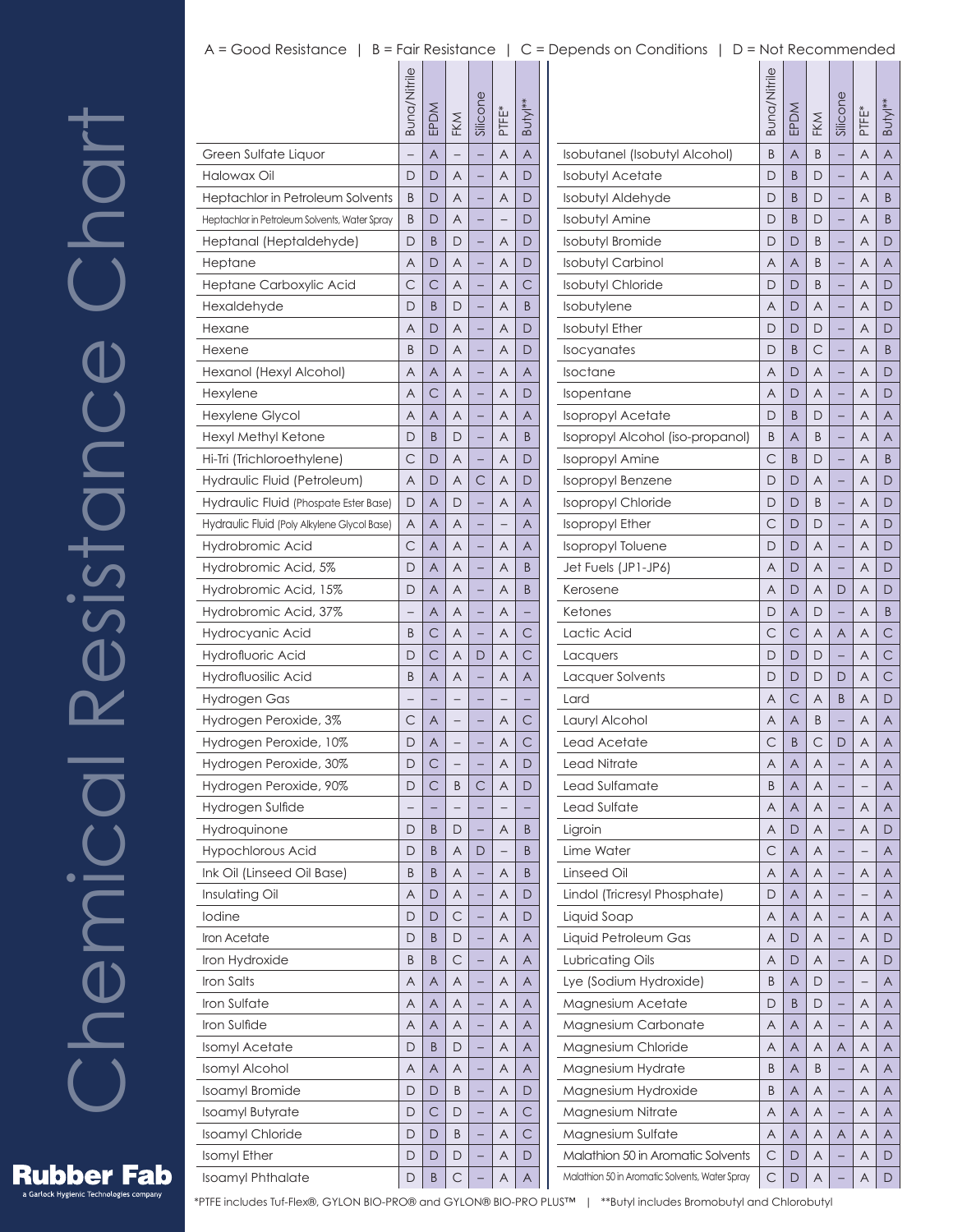## A = Good Resistance | B = Fair Resistance | C = Depends on Conditions | D = Not Recommended

|                                               | Buna/Nitrile | EPDM         | FKM          | Silicone | PTFE* | Butyl**      |
|-----------------------------------------------|--------------|--------------|--------------|----------|-------|--------------|
| Green Sulfate Liquor                          |              | A            |              |          | A     | A            |
| Halowax Oil                                   | D            | D            | A            |          | Α     | D            |
| Heptachlor in Petroleum Solvents              | B            | D            | A            |          | A     | D            |
| Heptachlor in Petroleum Solvents, Water Spray | B            | D            | A            |          |       | D            |
| Heptanal (Heptaldehyde)                       | D            | B            | D            |          | Α     | D            |
| Heptane                                       | A            | D            | A            |          | A     | D            |
| Heptane Carboxylic Acid                       | С            | С            | A            |          | A     | С            |
| Hexaldehyde                                   | D            | B            | D            |          | Α     | B            |
| Hexane                                        | A            | D            | A            |          | A     | D            |
| Hexene                                        | B            | D            | A            |          | A     | D            |
| Hexanol (Hexyl Alcohol)                       | A            | A            | A            |          | Α     | Α            |
| Hexylene                                      | A            | С            | A            |          | A     | D            |
| <b>Hexylene Glycol</b>                        | A            | A            | A            |          | A     | A            |
| Hexyl Methyl Ketone                           | D            | B            | D            |          | Α     | B            |
| Hi-Tri (Trichloroethylene)                    | С            | D            | A            |          | A     | D            |
| Hydraulic Fluid (Petroleum)                   | A            | D            | A            | С        | A     | D            |
| Hydraulic Fluid (Phospate Ester Base)         | D            | A            | D            |          | Α     | A            |
| Hydraulic Fluid (Poly Alkylene Glycol Base)   | A            | A            | Α            |          |       | Α            |
| Hydrobromic Acid                              | С            | A            | A            |          | A     | A            |
| Hydrobromic Acid, 5%                          | D            | A            | A            |          | Α     | B            |
| Hydrobromic Acid, 15%                         | D            | Α            | A            |          | A     | B            |
| Hydrobromic Acid, 37%                         |              | A            | A            |          | A     |              |
| Hydrocyanic Acid                              | B            | С            | A            |          | Α     | C            |
| Hydrofluoric Acid                             | D            | C            | A            | D        | A     | C            |
| Hydrofluosilic Acid                           | B            | A            | A            |          | A     | A            |
| Hydrogen Gas                                  |              |              |              |          |       |              |
| Hydrogen Peroxide, 3%                         | C            | Α            |              |          | Α     | C            |
| Hydrogen Peroxide, 10%                        | D            | Α            |              |          | A     | $\mathsf{C}$ |
| Hydrogen Peroxide, 30%                        | D            | С            |              |          | Α     | D            |
| Hydrogen Peroxide, 90%                        | D            | С            | B            | С        | Α     | D            |
| Hydrogen Sulfide                              |              |              |              |          |       |              |
| Hydroquinone                                  | D            | Β            | D            | -        | Α     | B            |
| <b>Hypochlorous Acid</b>                      | D            | Β            | Α            | D        |       | B            |
| Ink Oil (Linseed Oil Base)                    | B            | B            | Α            |          | Α     | B            |
| Insulating Oil                                | A            | D            | Α            |          | Α     | D            |
| lodine                                        | D            | D            | $\mathsf{C}$ |          | Α     | D            |
| <b>Iron Acetate</b>                           | D            | B            | D            |          | Α     | A            |
| Iron Hydroxide                                | B            | Β            | С            | -        | Α     | Α            |
| Iron Salts                                    | A            | A            | Α            |          | Α     | A            |
| Iron Sulfate                                  | A            | A            | Α            |          | Α     | A            |
| Iron Sulfide                                  | Α            | Α            | Α            |          | Α     | Α            |
| Isomyl Acetate                                | D            | Β            | D            |          | Α     | A            |
| Isomyl Alcohol                                | A            | A            | Α            |          | Α     | A            |
| <b>Isoamyl Bromide</b>                        | D            | D            | B            | -        | Α     | D            |
| <b>Isoamyl Butyrate</b>                       | D            | $\mathsf{C}$ | D            |          | Α     | $\mathsf{C}$ |
| <b>Isoamyl Chloride</b>                       | D            | D            | B            |          | Α     | $\mathsf{C}$ |
| Isomyl Ether                                  | D            | D            | D            |          | Α     | D            |
| Isoamyl Phthalate                             | D            | Β            | С            |          | Α     | A            |
|                                               |              |              |              |          |       |              |

|                                                | Buna/Nitrile | EPDM | FKM | Silicone | PTFE* | Butyl** |
|------------------------------------------------|--------------|------|-----|----------|-------|---------|
| Isobutanel (Isobutyl Alcohol)                  | B            | A    | B   |          | A     | A       |
| <b>Isobutyl Acetate</b>                        | D            | B    | D   |          | Α     | A       |
| Isobutyl Aldehyde                              | D            | B    | D   |          | Α     | B       |
| <b>Isobutyl Amine</b>                          | D            | B    | D   |          | A     | B       |
| <b>Isobutyl Bromide</b>                        | D            | D    | B   |          | Α     | D       |
| <b>Isobutyl Carbinol</b>                       | Α            | A    | B   |          | Α     | A       |
| <b>Isobutyl Chloride</b>                       | D            | D    | B   |          | A     | D       |
| Isobutylene                                    | Α            | D    | Α   |          | Α     | D       |
| <b>Isobutyl Ether</b>                          | D            | D    | D   |          | Α     | D       |
| Isocyanates                                    | D            | B    | С   |          | A     | B       |
| Isoctane                                       | Α            | D    | A   |          | Α     | D       |
| <i><u><b>Isopentane</b></u></i>                | Α            | D    | A   |          | Α     | D       |
| <b>Isopropyl Acetate</b>                       | D            | B    | D   |          | A     | A       |
| Isopropyl Alcohol (iso-propanol)               | B            | A    | B   |          | Α     | A       |
| Isopropyl Amine                                | C            | B    | D   |          | Α     | B       |
| <b>Isopropyl Benzene</b>                       | D            | D    | Α   |          | A     | D       |
| <b>Isopropyl Chloride</b>                      | D            | D    | B   |          | Α     | D       |
| <b>Isopropyl Ether</b>                         | С            | D    | D   |          | Α     | D       |
| <b>Isopropyl Toluene</b>                       | D            | D    | A   |          | A     | D       |
| Jet Fuels (JP1-JP6)                            | Α            | D    | A   |          | Α     | D       |
| Kerosene                                       | Α            | D    | A   | D        | Α     | D       |
| Ketones                                        | D            | A    | D   |          | A     | B       |
| Lactic Acid                                    | С            | С    | A   | A        | Α     | С       |
| Lacquers                                       | D            | D    | D   |          | Α     | С       |
| Lacquer Solvents                               | D            | D    | D   | D        | A     | С       |
| Lard                                           | Α            | С    | Α   | B        | Α     | D       |
| Lauryl Alcohol                                 | Α            | A    | B   |          | Α     | A       |
| Lead Acetate                                   | С            | B    | С   | D        | A     | A       |
| Lead Nitrate                                   | Α            | Α    | A   |          | Α     | Α       |
| Lead Sulfamate                                 | B            | Α    | Α   |          |       | Α       |
| Lead Sulfate                                   | A            | A    | A   |          | A     | A       |
| Ligroin                                        | Α            | D    | Α   | -        | Α     | D       |
| Lime Water                                     | С            | A    | Α   |          |       | Α       |
| Linseed Oil                                    | Α            | A    | A   |          | Α     | A       |
| Lindol (Tricresyl Phosphate)                   | D            | Α    | Α   | -        |       | Α       |
| Liquid Soap                                    | Α            | Α    | Α   |          | Α     | Α       |
| Liquid Petroleum Gas                           | A            | D    | A   |          | A     | D       |
| Lubricating Oils                               | Α            | D    | Α   | -        | Α     | D       |
| Lye (Sodium Hydroxide)                         | B            | A    | D   |          |       | Α       |
| Magnesium Acetate                              | D            | B    | D   | -        | Α     | A       |
| Magnesium Carbonate                            | Α            | A    | Α   | -        | Α     | Α       |
| Magnesium Chloride                             | Α            | Α    | Α   | Α        | Α     | Α       |
| Magnesium Hydrate                              | B            | A    | B   |          | Α     | A       |
| Magnesium Hydroxide                            | B            | Α    | Α   | -        | Α     | Α       |
| Magnesium Nitrate                              | Α            | A    | Α   |          | Α     | Α       |
| Magnesium Sulfate                              | Α            | A    | A   | A        | A     | A       |
| Malathion 50 in Aromatic Solvents              | С            | D    | A   |          | Α     | D       |
| Malathion 50 in Aromatic Solvents, Water Spray | $\subset$    | D    | A   |          | A     | D       |

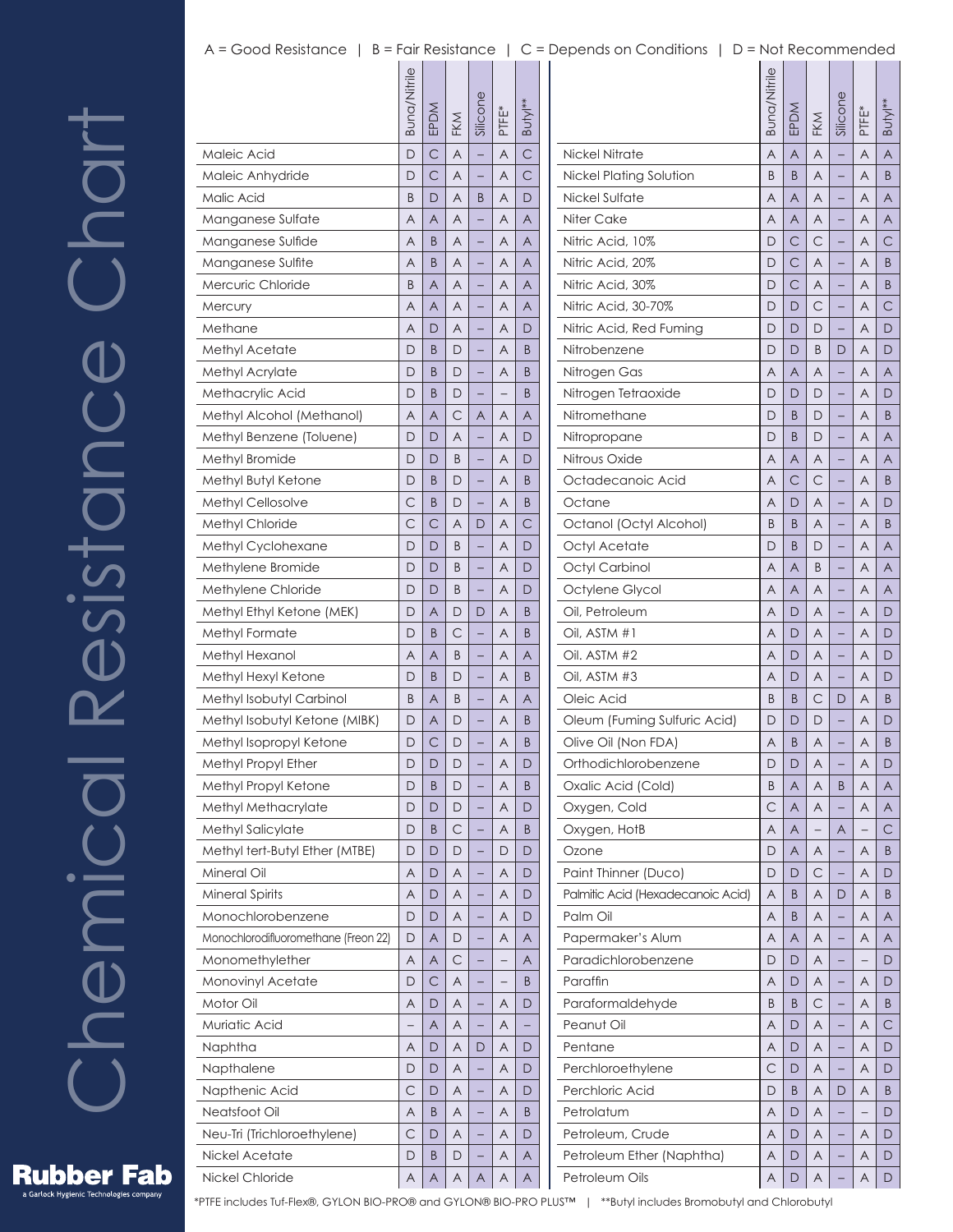# Chemical Resistance Chart Resistance Chart Chemical

|                                      | Buna/Nitrile | EPDM         | FKM            | Silicone                 | PTFE*          | Butyl <sup>**</sup> |  |
|--------------------------------------|--------------|--------------|----------------|--------------------------|----------------|---------------------|--|
| Maleic Acid                          | D            | C            | $\overline{A}$ | $\overline{a}$           | A              | $\overline{C}$      |  |
| Maleic Anhydride                     | D            | С            | A              |                          | A              | $\mathsf{C}$        |  |
| Malic Acid                           | B            | D            | A              | B                        | Α              | D                   |  |
| Manganese Sulfate                    | A            | A            | A              |                          | A              | A                   |  |
| Manganese Sulfide                    | A            | B            | A              | -                        | A              | A                   |  |
| Manganese Sulfite                    | Α            | B            | A              |                          | Α              | A                   |  |
| Mercuric Chloride                    | B            | A            | A              |                          | A              | A                   |  |
| Mercury                              | A            | A            | A              | -                        | Α              | A                   |  |
| Methane                              | Α            | D            | A              |                          | Α              | D                   |  |
| Methyl Acetate                       | D            | B            | D              |                          | A              | B                   |  |
| Methyl Acrylate                      | D            | B            | D              | -                        | Α              | B                   |  |
| Methacrylic Acid                     | D            | B            | D              |                          |                | B                   |  |
| Methyl Alcohol (Methanol)            | A            | A            | С              | A                        | A              | A                   |  |
| Methyl Benzene (Toluene)             | D            | D            | A              |                          | Α              | D                   |  |
| Methyl Bromide                       | D            | D            | B              |                          | Α              | D                   |  |
| Methyl Butyl Ketone                  | D            | B            | D              |                          | A              | B                   |  |
| Methyl Cellosolve                    | С            | B            | D              | -                        | A              | B                   |  |
| <b>Methyl Chloride</b>               | C            | С            | A              | D                        | Α              | С                   |  |
| Methyl Cyclohexane                   | D            | D            | B              |                          | A              | D                   |  |
| Methylene Bromide                    | D            | D            | B              | -                        | Α              | D                   |  |
| Methylene Chloride                   | D            | D            | B              |                          | Α              | D                   |  |
| Methyl Ethyl Ketone (MEK)            | D            | A            | D              | D                        | $\overline{A}$ | B                   |  |
| Methyl Formate                       | D            | B            | С              | -                        | A              | B                   |  |
| Methyl Hexanol                       | Α            | A            | B              |                          | Α              | A                   |  |
| Methyl Hexyl Ketone                  | D            | B            | D              |                          | A              | B                   |  |
| Methyl Isobutyl Carbinol             | B            | A            | B              |                          | Α              | A                   |  |
| Methyl Isobutyl Ketone (MIBK)        | D            | A            | D              |                          | Α              | B                   |  |
| Methyl Isopropyl Ketone              | D            | С            | D              |                          | A              | B                   |  |
| Methyl Propyl Ether                  | D            | D            | D              |                          | Α              | D                   |  |
| Methyl Propyl Ketone                 | D            | B            | D              |                          | Α              | B                   |  |
| Methyl Methacrylate                  | D            | D            | D              | $\overline{\phantom{0}}$ | A              | D                   |  |
| Methyl Salicylate                    | D            | B            | $\mathsf{C}$   | -                        | A              | Β                   |  |
| Methyl tert-Butyl Ether (MTBE)       | D            | D            | D              | ÷,                       | D              | D                   |  |
| Mineral Oil                          | A            | D            | Α              | $\overline{\phantom{0}}$ | Α              | D                   |  |
| <b>Mineral Spirits</b>               | Α            | D            | Α              | -                        | Α              | D                   |  |
| Monochlorobenzene                    | D            | D            | Α              | -                        | Α              | D                   |  |
| Monochlorodifluoromethane (Freon 22) | D            | Α            | D              | $\overline{\phantom{0}}$ | A              | A                   |  |
| Monomethylether                      | Α            | Α            | $\mathsf{C}$   | -                        | <sup>-</sup>   | Α                   |  |
| Monovinyl Acetate                    | D            | $\mathsf{C}$ | Α              | -                        |                | B                   |  |
| Motor Oil                            | A            | D            | Α              | -                        | Α              | D                   |  |
| Muriatic Acid                        | <sup>-</sup> | Α            | Α              | -                        | Α              |                     |  |
| Naphtha                              | Α            | D            | Α              | D                        | Α              | D                   |  |
| Napthalene                           | D            | D            | A              | $\overline{\phantom{0}}$ | Α              | D                   |  |
| Napthenic Acid                       | С            | D            | Α              | -                        | Α              | D                   |  |
| Neatsfoot Oil                        | Α            | B            | Α              | -                        | Α              | Β                   |  |
| Neu-Tri (Trichloroethylene)          | С            | D            | Α              | $\overline{\phantom{0}}$ | Α              | D                   |  |
| Nickel Acetate                       | D            | B            | D              | -                        | Α              | Α                   |  |
| Nickel Chloride                      | Α            | A            | Α              | A                        | Α              | A                   |  |
|                                      |              |              |                |                          |                |                     |  |

|                                   | Buna/Nitrile | EPDM | FKM | Silicone | PTFE* | Butyl** |
|-----------------------------------|--------------|------|-----|----------|-------|---------|
| <b>Nickel Nitrate</b>             | A            | A    | Α   |          | Α     | A       |
| Nickel Plating Solution           | B            | B    | A   |          | A     | B       |
| Nickel Sulfate                    | Α            | A    | Α   |          | Α     | A       |
| Niter Cake                        | Α            | A    | Α   |          | Α     | A       |
| Nitric Acid, 10%                  | D            | С    | С   |          | A     | C       |
| Nitric Acid, 20%                  | D            | С    | A   |          | Α     | B       |
| Nitric Acid, 30%                  | D            | С    | Α   |          | A     | B       |
| Nitric Acid, 30-70%               | D            | D    | С   |          | A     | C       |
| Nitric Acid, Red Fuming           | D            | D    | D   |          | Α     | D       |
| Nitrobenzene                      | D            | D    | B   | D        | A     | D       |
| Nitrogen Gas                      | A            | A    | A   |          | A     | A       |
| Nitrogen Tetraoxide               | D            | D    | D   |          | Α     | D       |
| Nitromethane                      | D            | B    | D   |          | A     | B       |
| Nitropropane                      | D            | B    | D   |          | A     | A       |
| Nitrous Oxide                     | Α            | A    | Α   |          | Α     | A       |
| Octadecanoic Acid                 | Α            | С    | С   | -        | A     | B       |
| Octane                            | Α            | D    | A   |          | A     | D       |
| Octanol (Octyl Alcohol)           | B            | B    | Α   |          | Α     | B       |
| Octyl Acetate                     | D            | B    | D   |          | Α     | A       |
| Octyl Carbinol                    | A            | A    | B   |          | A     | A       |
| Octylene Glycol                   | Α            | A    | Α   |          | Α     | A       |
| Oil, Petroleum                    | Α            | D    | Α   | -        | Α     | D       |
| Oil, ASTM #1                      | A            | D    | A   |          | A     | D       |
| Oil. ASTM #2                      | Α            | D    | Α   |          | Α     | D       |
| Oil, ASTM #3                      | Α            | D    | Α   |          | A     | D       |
| Oleic Acid                        | B            | B    | С   | D        | A     | B       |
| Oleum (Fuming Sulfuric Acid)      | D            | D    | D   |          | Α     | D       |
| Olive Oil (Non FDA)               | Α            | B    | Α   |          | Α     | Β       |
| Orthodichlorobenzene              | D            | D    | A   |          | A     | D       |
| Oxalic Acid (Cold)                | Β            | Α    | Α   | Β        | Α     | A       |
| Oxygen, Cold                      | С            | A    | Α   |          | Α     | Α       |
| Oxygen, HotB                      | A            | A    |     | A        |       | С       |
| Ozone                             | D            | Α    | Α   |          | Α     | B       |
| Paint Thinner (Duco)              | D            | D    | С   | -        | Α     | D       |
| Palmitic Acid (Hexadecanoic Acid) | A            | B    | A   | D        | A     | B       |
| Palm Oil                          | Α            | Β    | Α   |          | Α     | Α       |
| Papermaker's Alum                 | Α            | A    | Α   | -        | Α     | Α       |
| Paradichlorobenzene               | D            | D    | A   |          |       | D       |
| Paraffin                          | Α            | D    | Α   |          | Α     | D       |
| Paraformaldehyde                  | B            | Β    | С   |          | Α     | B       |
| Peanut Oil                        | A            | D    | A   |          | A     | С       |
| Pentane                           | Α            | D    | Α   |          | Α     | D       |
| Perchloroethylene                 | С            | D    | Α   | -        | Α     | D       |
| Perchloric Acid                   | D            | B    | A   | D        | A     | B       |
| Petrolatum                        | Α            | D    | Α   |          |       | D       |
| Petroleum, Crude                  | Α            | D    | Α   |          | Α     | D       |
| Petroleum Ether (Naphtha)         | Α            | D    | A   |          | Α     | D       |
| Petroleum Oils                    | Α            | D    | Α   | -        | Α     | D       |
|                                   |              |      |     |          |       |         |



**Rubber Fab** a Garlock Hygienic Technologies company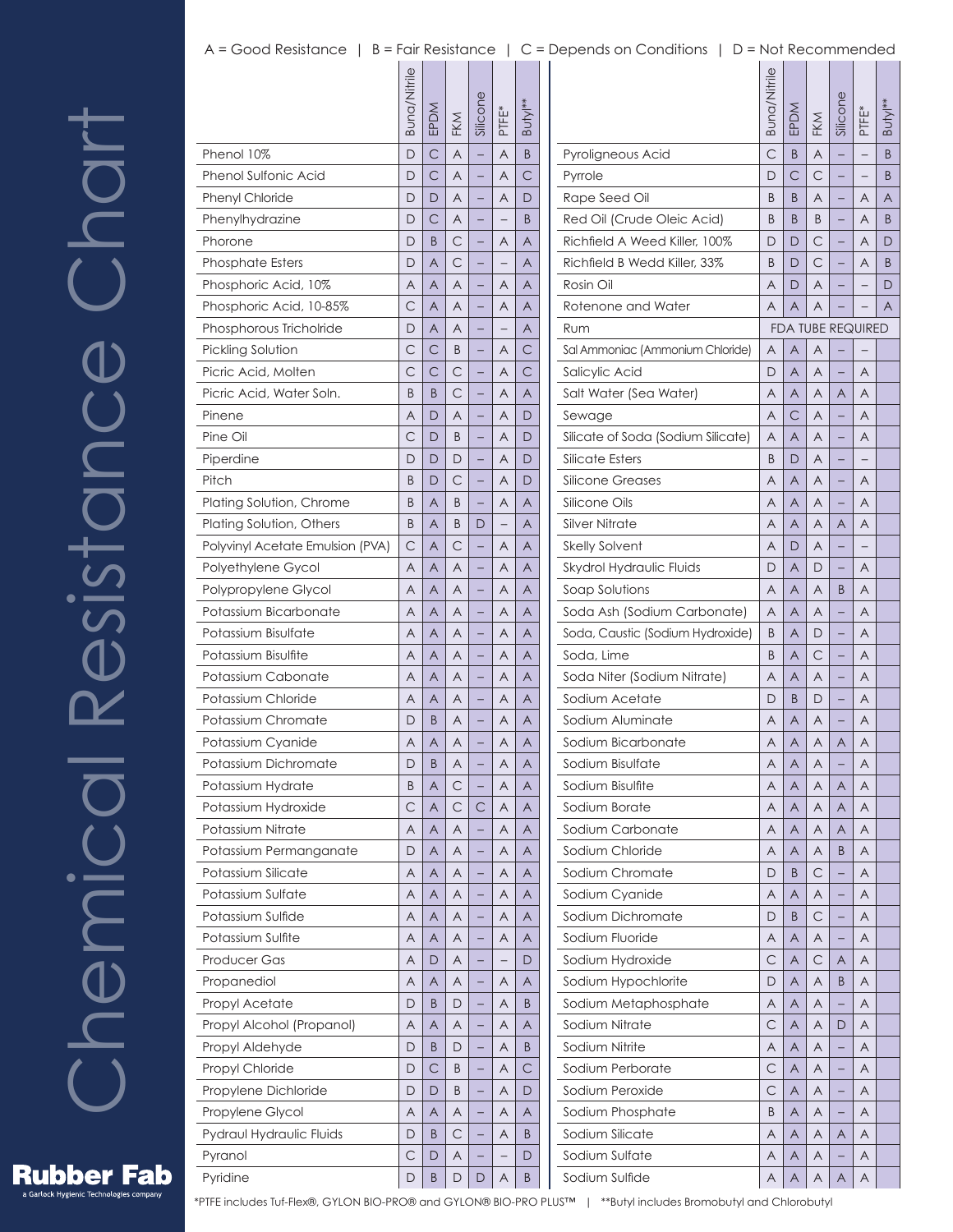# Chemical Resistance Chart Resistance Chart Chemical

|                                  | Buna/Nitrile | EPDM         | FKM          | Silicone | PTFE <sup>*</sup> | Butyl** |  |
|----------------------------------|--------------|--------------|--------------|----------|-------------------|---------|--|
| Phenol 10%                       | D            | C            | A            |          | A                 | B       |  |
| <b>Phenol Sulfonic Acid</b>      | D            | C            | A            |          | A                 | С       |  |
| <b>Phenyl Chloride</b>           | D            | D            | A            |          | Α                 | D       |  |
| Phenylhydrazine                  | D            | C            | A            |          |                   | B       |  |
| Phorone                          | D            | B            | С            |          | Α                 | A       |  |
| <b>Phosphate Esters</b>          | D            | A            | C            |          |                   | A       |  |
| Phosphoric Acid, 10%             | A            | A            | A            |          | A                 | A       |  |
| Phosphoric Acid, 10-85%          | С            | A            | A            |          | Α                 | A       |  |
| Phosphorous Tricholride          | D            | A            | A            |          |                   | Α       |  |
| Pickling Solution                | С            | С            | B            |          | A                 | С       |  |
| Picric Acid, Molten              | C            | $\mathsf{C}$ | С            |          | A                 | С       |  |
| Picric Acid, Water Soln.         | B            | B            | C            |          | Α                 | A       |  |
| Pinene                           | A            | D            | A            |          | A                 | D       |  |
| Pine Oil                         | С            | D            | B            |          | Α                 | D       |  |
| Piperdine                        | D            | D            | D            |          | Α                 | D       |  |
| Pitch                            | B            | D            | С            |          | A                 | D       |  |
| Plating Solution, Chrome         | B            | A            | B            |          | A                 | A       |  |
| Plating Solution, Others         | B            | A            | B            | D        |                   | A       |  |
| Polyvinyl Acetate Emulsion (PVA) | С            | A            | С            |          | A                 | A       |  |
|                                  | A            | A            | A            |          | Α                 | A       |  |
| Polyethylene Gycol               |              |              |              |          |                   |         |  |
| Polypropylene Glycol             | A            | A            | A            |          | Α                 | A       |  |
| Potassium Bicarbonate            | A            | A            | A            |          | A                 | A       |  |
| Potassium Bisulfate              | A            | A            | A            |          | A                 | A       |  |
| Potassium Bisulfite              | A            | A            | A            |          | Α                 | A       |  |
| Potassium Cabonate               | A            | A            | A            |          | A                 | A       |  |
| Potassium Chloride               | A            | A            | A            |          | Α                 | A       |  |
| Potassium Chromate               | D            | B            | A            |          | Α                 | A       |  |
| Potassium Cyanide                | A            | A            | A            |          | A                 | A       |  |
| Potassium Dichromate             | D            | B            | Α            |          | Α                 | A       |  |
| Potassium Hydrate                | B            | A            | $\mathsf{C}$ |          | Α                 | Α       |  |
| Potassium Hydroxide              | С            | A            | С            | С        | A                 | A       |  |
| Potassium Nitrate                | A            | A            | Α            |          | Α                 | Α       |  |
| Potassium Permanganate           | D            | A            | Α            |          | Α                 | Α       |  |
| Potassium Silicate               | A            | A            | Α            |          | Α                 | A       |  |
| Potassium Sulfate                | A            | A            | Α            |          | Α                 | Α       |  |
| Potassium Sulfide                | Α            | A            | Α            |          | Α                 | Α       |  |
| Potassium Sulfite                | A            | A            | Α            |          | A                 | A       |  |
| Producer Gas                     | Α            | D            | Α            | -        | <sup>-</sup>      | D       |  |
| Propanediol                      | Α            | A            | Α            |          | Α                 | Α       |  |
| Propyl Acetate                   | D            | B            | D            |          | Α                 | B       |  |
| Propyl Alcohol (Propanol)        | Α            | A            | Α            |          | Α                 | A       |  |
| Propyl Aldehyde                  | D            | B            | D            |          | Α                 | B       |  |
| Propyl Chloride                  | D            | С            | B            |          | Α                 | С       |  |
| Propylene Dichloride             | D            | D            | B            | -        | Α                 | D       |  |
| Propylene Glycol                 | Α            | A            | Α            |          | Α                 | A       |  |
| Pydraul Hydraulic Fluids         | D            | B            | С            |          | A                 | B       |  |
| Pyranol                          | С            | D            | Α            |          |                   | D       |  |
| Pyridine                         | D            | B            | D            | D        | Α                 | B       |  |

| C<br>Pyroligneous Acid<br>B<br>A<br>B<br>Pyrrole<br>D<br>С<br>С<br>B<br>Rape Seed Oil<br>B<br>B<br>Α<br>Α<br>A<br>-<br>Red Oil (Crude Oleic Acid)<br>B<br>B<br>B<br>Α<br>B<br>Richfield A Weed Killer, 100%<br>D<br>D<br>С<br>Α<br>D<br>С<br>Richfield B Wedd Killer, 33%<br>B<br>D<br>Α<br>B<br>-<br>Rosin Oil<br>Α<br>D<br>A<br>D<br>Rotenone and Water<br>Α<br>A<br>A<br>A<br><b>FDA TUBE REQUIRED</b><br>Rum<br>Sal Ammoniac (Ammonium Chloride)<br>A<br>A<br>A<br>A<br>A<br>Salicylic Acid<br>D<br>A<br>Salt Water (Sea Water)<br>Α<br>Α<br>Α<br>A<br>A<br>С<br>Α<br>A<br>A<br>Sewage<br>Silicate of Soda (Sodium Silicate)<br>Α<br>A<br>A<br>Α<br>Silicate Esters<br>B<br>D<br>Α<br>-<br>$\qquad \qquad -$<br>A<br>Silicone Greases<br>A<br>A<br>A<br>Silicone Oils<br>Α<br>A<br>A<br>Α<br>Silver Nitrate<br>Α<br>Α<br>Α<br>A<br>Α<br><b>Skelly Solvent</b><br>Α<br>D<br>A<br>Skydrol Hydraulic Fluids<br>D<br>A<br>Α<br>D<br>Soap Solutions<br>Α<br>Α<br>Α<br>B<br>A<br>Soda Ash (Sodium Carbonate)<br>Α<br>A<br>A<br>A<br>Soda, Caustic (Sodium Hydroxide)<br>B<br>A<br>D<br>Α<br>Soda, Lime<br>Β<br>С<br>Α<br>Α<br>-<br>Soda Niter (Sodium Nitrate)<br>Α<br>Α<br>A<br>A<br>Sodium Acetate<br>A<br>D<br>B<br>D<br>Sodium Aluminate<br>Α<br>Α<br>Α<br>Α<br>-<br>Sodium Bicarbonate<br>Α<br>Α<br>Α<br>A<br>Α<br>$\overline{\mathsf{A}}$<br>$\overline{\mathsf{A}}$<br>Sodium Bisulfate<br>$\overline{A}$<br>A<br>Sodium Bisulfite<br>A<br>Α<br>Α<br>Α<br>Α<br>Sodium Borate<br>A<br>A<br>Α<br>Α<br>Α<br>Sodium Carbonate<br>A<br>A<br>Α<br>A<br>Α<br>Sodium Chloride<br>Α<br>Α<br>Α<br>Β<br>Α<br>Sodium Chromate<br>С<br>D<br>B<br>Α<br>Sodium Cyanide<br>A<br>A<br>Α<br>A<br>Sodium Dichromate<br>С<br>D<br>B<br>Α<br>-<br>Sodium Fluoride<br>A<br>A<br>A<br>A<br>Sodium Hydroxide<br>С<br>A<br>A<br>Α<br>С<br>Sodium Hypochlorite<br>A<br>D<br>Α<br>Β<br>Α<br>Sodium Metaphosphate<br>A<br>Α<br>Α<br>A<br>Sodium Nitrate<br>С<br>Α<br>Α<br>D<br>A<br>Sodium Nitrite<br>A<br>A<br>Α<br>Α<br>-<br>Sodium Perborate<br>С<br>Α<br>Α<br>A<br>Sodium Peroxide<br>С<br>Α<br>A<br>Α<br>Sodium Phosphate<br>B<br>Α<br>Α<br>Α<br>-<br>Sodium Silicate<br>A<br>A<br>Α<br>Α<br>Α<br>Sodium Sulfate<br>Α<br>Α<br>Α<br>A | Buna/Nitrile | EPDM | FKM | Silicone | PTFE* | Butyl** |
|--------------------------------------------------------------------------------------------------------------------------------------------------------------------------------------------------------------------------------------------------------------------------------------------------------------------------------------------------------------------------------------------------------------------------------------------------------------------------------------------------------------------------------------------------------------------------------------------------------------------------------------------------------------------------------------------------------------------------------------------------------------------------------------------------------------------------------------------------------------------------------------------------------------------------------------------------------------------------------------------------------------------------------------------------------------------------------------------------------------------------------------------------------------------------------------------------------------------------------------------------------------------------------------------------------------------------------------------------------------------------------------------------------------------------------------------------------------------------------------------------------------------------------------------------------------------------------------------------------------------------------------------------------------------------------------------------------------------------------------------------------------------------------------------------------------------------------------------------------------------------------------------------------------------------------------------------------------------------------------------------------------------------------------------------------------------------------------------------------------------------------------------------------------------------------------------------------------------|--------------|------|-----|----------|-------|---------|
|                                                                                                                                                                                                                                                                                                                                                                                                                                                                                                                                                                                                                                                                                                                                                                                                                                                                                                                                                                                                                                                                                                                                                                                                                                                                                                                                                                                                                                                                                                                                                                                                                                                                                                                                                                                                                                                                                                                                                                                                                                                                                                                                                                                                                    |              |      |     |          |       |         |
|                                                                                                                                                                                                                                                                                                                                                                                                                                                                                                                                                                                                                                                                                                                                                                                                                                                                                                                                                                                                                                                                                                                                                                                                                                                                                                                                                                                                                                                                                                                                                                                                                                                                                                                                                                                                                                                                                                                                                                                                                                                                                                                                                                                                                    |              |      |     |          |       |         |
|                                                                                                                                                                                                                                                                                                                                                                                                                                                                                                                                                                                                                                                                                                                                                                                                                                                                                                                                                                                                                                                                                                                                                                                                                                                                                                                                                                                                                                                                                                                                                                                                                                                                                                                                                                                                                                                                                                                                                                                                                                                                                                                                                                                                                    |              |      |     |          |       |         |
|                                                                                                                                                                                                                                                                                                                                                                                                                                                                                                                                                                                                                                                                                                                                                                                                                                                                                                                                                                                                                                                                                                                                                                                                                                                                                                                                                                                                                                                                                                                                                                                                                                                                                                                                                                                                                                                                                                                                                                                                                                                                                                                                                                                                                    |              |      |     |          |       |         |
|                                                                                                                                                                                                                                                                                                                                                                                                                                                                                                                                                                                                                                                                                                                                                                                                                                                                                                                                                                                                                                                                                                                                                                                                                                                                                                                                                                                                                                                                                                                                                                                                                                                                                                                                                                                                                                                                                                                                                                                                                                                                                                                                                                                                                    |              |      |     |          |       |         |
|                                                                                                                                                                                                                                                                                                                                                                                                                                                                                                                                                                                                                                                                                                                                                                                                                                                                                                                                                                                                                                                                                                                                                                                                                                                                                                                                                                                                                                                                                                                                                                                                                                                                                                                                                                                                                                                                                                                                                                                                                                                                                                                                                                                                                    |              |      |     |          |       |         |
|                                                                                                                                                                                                                                                                                                                                                                                                                                                                                                                                                                                                                                                                                                                                                                                                                                                                                                                                                                                                                                                                                                                                                                                                                                                                                                                                                                                                                                                                                                                                                                                                                                                                                                                                                                                                                                                                                                                                                                                                                                                                                                                                                                                                                    |              |      |     |          |       |         |
|                                                                                                                                                                                                                                                                                                                                                                                                                                                                                                                                                                                                                                                                                                                                                                                                                                                                                                                                                                                                                                                                                                                                                                                                                                                                                                                                                                                                                                                                                                                                                                                                                                                                                                                                                                                                                                                                                                                                                                                                                                                                                                                                                                                                                    |              |      |     |          |       |         |
|                                                                                                                                                                                                                                                                                                                                                                                                                                                                                                                                                                                                                                                                                                                                                                                                                                                                                                                                                                                                                                                                                                                                                                                                                                                                                                                                                                                                                                                                                                                                                                                                                                                                                                                                                                                                                                                                                                                                                                                                                                                                                                                                                                                                                    |              |      |     |          |       |         |
|                                                                                                                                                                                                                                                                                                                                                                                                                                                                                                                                                                                                                                                                                                                                                                                                                                                                                                                                                                                                                                                                                                                                                                                                                                                                                                                                                                                                                                                                                                                                                                                                                                                                                                                                                                                                                                                                                                                                                                                                                                                                                                                                                                                                                    |              |      |     |          |       |         |
|                                                                                                                                                                                                                                                                                                                                                                                                                                                                                                                                                                                                                                                                                                                                                                                                                                                                                                                                                                                                                                                                                                                                                                                                                                                                                                                                                                                                                                                                                                                                                                                                                                                                                                                                                                                                                                                                                                                                                                                                                                                                                                                                                                                                                    |              |      |     |          |       |         |
|                                                                                                                                                                                                                                                                                                                                                                                                                                                                                                                                                                                                                                                                                                                                                                                                                                                                                                                                                                                                                                                                                                                                                                                                                                                                                                                                                                                                                                                                                                                                                                                                                                                                                                                                                                                                                                                                                                                                                                                                                                                                                                                                                                                                                    |              |      |     |          |       |         |
|                                                                                                                                                                                                                                                                                                                                                                                                                                                                                                                                                                                                                                                                                                                                                                                                                                                                                                                                                                                                                                                                                                                                                                                                                                                                                                                                                                                                                                                                                                                                                                                                                                                                                                                                                                                                                                                                                                                                                                                                                                                                                                                                                                                                                    |              |      |     |          |       |         |
|                                                                                                                                                                                                                                                                                                                                                                                                                                                                                                                                                                                                                                                                                                                                                                                                                                                                                                                                                                                                                                                                                                                                                                                                                                                                                                                                                                                                                                                                                                                                                                                                                                                                                                                                                                                                                                                                                                                                                                                                                                                                                                                                                                                                                    |              |      |     |          |       |         |
|                                                                                                                                                                                                                                                                                                                                                                                                                                                                                                                                                                                                                                                                                                                                                                                                                                                                                                                                                                                                                                                                                                                                                                                                                                                                                                                                                                                                                                                                                                                                                                                                                                                                                                                                                                                                                                                                                                                                                                                                                                                                                                                                                                                                                    |              |      |     |          |       |         |
|                                                                                                                                                                                                                                                                                                                                                                                                                                                                                                                                                                                                                                                                                                                                                                                                                                                                                                                                                                                                                                                                                                                                                                                                                                                                                                                                                                                                                                                                                                                                                                                                                                                                                                                                                                                                                                                                                                                                                                                                                                                                                                                                                                                                                    |              |      |     |          |       |         |
|                                                                                                                                                                                                                                                                                                                                                                                                                                                                                                                                                                                                                                                                                                                                                                                                                                                                                                                                                                                                                                                                                                                                                                                                                                                                                                                                                                                                                                                                                                                                                                                                                                                                                                                                                                                                                                                                                                                                                                                                                                                                                                                                                                                                                    |              |      |     |          |       |         |
|                                                                                                                                                                                                                                                                                                                                                                                                                                                                                                                                                                                                                                                                                                                                                                                                                                                                                                                                                                                                                                                                                                                                                                                                                                                                                                                                                                                                                                                                                                                                                                                                                                                                                                                                                                                                                                                                                                                                                                                                                                                                                                                                                                                                                    |              |      |     |          |       |         |
|                                                                                                                                                                                                                                                                                                                                                                                                                                                                                                                                                                                                                                                                                                                                                                                                                                                                                                                                                                                                                                                                                                                                                                                                                                                                                                                                                                                                                                                                                                                                                                                                                                                                                                                                                                                                                                                                                                                                                                                                                                                                                                                                                                                                                    |              |      |     |          |       |         |
|                                                                                                                                                                                                                                                                                                                                                                                                                                                                                                                                                                                                                                                                                                                                                                                                                                                                                                                                                                                                                                                                                                                                                                                                                                                                                                                                                                                                                                                                                                                                                                                                                                                                                                                                                                                                                                                                                                                                                                                                                                                                                                                                                                                                                    |              |      |     |          |       |         |
|                                                                                                                                                                                                                                                                                                                                                                                                                                                                                                                                                                                                                                                                                                                                                                                                                                                                                                                                                                                                                                                                                                                                                                                                                                                                                                                                                                                                                                                                                                                                                                                                                                                                                                                                                                                                                                                                                                                                                                                                                                                                                                                                                                                                                    |              |      |     |          |       |         |
|                                                                                                                                                                                                                                                                                                                                                                                                                                                                                                                                                                                                                                                                                                                                                                                                                                                                                                                                                                                                                                                                                                                                                                                                                                                                                                                                                                                                                                                                                                                                                                                                                                                                                                                                                                                                                                                                                                                                                                                                                                                                                                                                                                                                                    |              |      |     |          |       |         |
|                                                                                                                                                                                                                                                                                                                                                                                                                                                                                                                                                                                                                                                                                                                                                                                                                                                                                                                                                                                                                                                                                                                                                                                                                                                                                                                                                                                                                                                                                                                                                                                                                                                                                                                                                                                                                                                                                                                                                                                                                                                                                                                                                                                                                    |              |      |     |          |       |         |
|                                                                                                                                                                                                                                                                                                                                                                                                                                                                                                                                                                                                                                                                                                                                                                                                                                                                                                                                                                                                                                                                                                                                                                                                                                                                                                                                                                                                                                                                                                                                                                                                                                                                                                                                                                                                                                                                                                                                                                                                                                                                                                                                                                                                                    |              |      |     |          |       |         |
|                                                                                                                                                                                                                                                                                                                                                                                                                                                                                                                                                                                                                                                                                                                                                                                                                                                                                                                                                                                                                                                                                                                                                                                                                                                                                                                                                                                                                                                                                                                                                                                                                                                                                                                                                                                                                                                                                                                                                                                                                                                                                                                                                                                                                    |              |      |     |          |       |         |
|                                                                                                                                                                                                                                                                                                                                                                                                                                                                                                                                                                                                                                                                                                                                                                                                                                                                                                                                                                                                                                                                                                                                                                                                                                                                                                                                                                                                                                                                                                                                                                                                                                                                                                                                                                                                                                                                                                                                                                                                                                                                                                                                                                                                                    |              |      |     |          |       |         |
|                                                                                                                                                                                                                                                                                                                                                                                                                                                                                                                                                                                                                                                                                                                                                                                                                                                                                                                                                                                                                                                                                                                                                                                                                                                                                                                                                                                                                                                                                                                                                                                                                                                                                                                                                                                                                                                                                                                                                                                                                                                                                                                                                                                                                    |              |      |     |          |       |         |
|                                                                                                                                                                                                                                                                                                                                                                                                                                                                                                                                                                                                                                                                                                                                                                                                                                                                                                                                                                                                                                                                                                                                                                                                                                                                                                                                                                                                                                                                                                                                                                                                                                                                                                                                                                                                                                                                                                                                                                                                                                                                                                                                                                                                                    |              |      |     |          |       |         |
|                                                                                                                                                                                                                                                                                                                                                                                                                                                                                                                                                                                                                                                                                                                                                                                                                                                                                                                                                                                                                                                                                                                                                                                                                                                                                                                                                                                                                                                                                                                                                                                                                                                                                                                                                                                                                                                                                                                                                                                                                                                                                                                                                                                                                    |              |      |     |          |       |         |
|                                                                                                                                                                                                                                                                                                                                                                                                                                                                                                                                                                                                                                                                                                                                                                                                                                                                                                                                                                                                                                                                                                                                                                                                                                                                                                                                                                                                                                                                                                                                                                                                                                                                                                                                                                                                                                                                                                                                                                                                                                                                                                                                                                                                                    |              |      |     |          |       |         |
|                                                                                                                                                                                                                                                                                                                                                                                                                                                                                                                                                                                                                                                                                                                                                                                                                                                                                                                                                                                                                                                                                                                                                                                                                                                                                                                                                                                                                                                                                                                                                                                                                                                                                                                                                                                                                                                                                                                                                                                                                                                                                                                                                                                                                    |              |      |     |          |       |         |
|                                                                                                                                                                                                                                                                                                                                                                                                                                                                                                                                                                                                                                                                                                                                                                                                                                                                                                                                                                                                                                                                                                                                                                                                                                                                                                                                                                                                                                                                                                                                                                                                                                                                                                                                                                                                                                                                                                                                                                                                                                                                                                                                                                                                                    |              |      |     |          |       |         |
|                                                                                                                                                                                                                                                                                                                                                                                                                                                                                                                                                                                                                                                                                                                                                                                                                                                                                                                                                                                                                                                                                                                                                                                                                                                                                                                                                                                                                                                                                                                                                                                                                                                                                                                                                                                                                                                                                                                                                                                                                                                                                                                                                                                                                    |              |      |     |          |       |         |
|                                                                                                                                                                                                                                                                                                                                                                                                                                                                                                                                                                                                                                                                                                                                                                                                                                                                                                                                                                                                                                                                                                                                                                                                                                                                                                                                                                                                                                                                                                                                                                                                                                                                                                                                                                                                                                                                                                                                                                                                                                                                                                                                                                                                                    |              |      |     |          |       |         |
|                                                                                                                                                                                                                                                                                                                                                                                                                                                                                                                                                                                                                                                                                                                                                                                                                                                                                                                                                                                                                                                                                                                                                                                                                                                                                                                                                                                                                                                                                                                                                                                                                                                                                                                                                                                                                                                                                                                                                                                                                                                                                                                                                                                                                    |              |      |     |          |       |         |
|                                                                                                                                                                                                                                                                                                                                                                                                                                                                                                                                                                                                                                                                                                                                                                                                                                                                                                                                                                                                                                                                                                                                                                                                                                                                                                                                                                                                                                                                                                                                                                                                                                                                                                                                                                                                                                                                                                                                                                                                                                                                                                                                                                                                                    |              |      |     |          |       |         |
|                                                                                                                                                                                                                                                                                                                                                                                                                                                                                                                                                                                                                                                                                                                                                                                                                                                                                                                                                                                                                                                                                                                                                                                                                                                                                                                                                                                                                                                                                                                                                                                                                                                                                                                                                                                                                                                                                                                                                                                                                                                                                                                                                                                                                    |              |      |     |          |       |         |
|                                                                                                                                                                                                                                                                                                                                                                                                                                                                                                                                                                                                                                                                                                                                                                                                                                                                                                                                                                                                                                                                                                                                                                                                                                                                                                                                                                                                                                                                                                                                                                                                                                                                                                                                                                                                                                                                                                                                                                                                                                                                                                                                                                                                                    |              |      |     |          |       |         |
|                                                                                                                                                                                                                                                                                                                                                                                                                                                                                                                                                                                                                                                                                                                                                                                                                                                                                                                                                                                                                                                                                                                                                                                                                                                                                                                                                                                                                                                                                                                                                                                                                                                                                                                                                                                                                                                                                                                                                                                                                                                                                                                                                                                                                    |              |      |     |          |       |         |
|                                                                                                                                                                                                                                                                                                                                                                                                                                                                                                                                                                                                                                                                                                                                                                                                                                                                                                                                                                                                                                                                                                                                                                                                                                                                                                                                                                                                                                                                                                                                                                                                                                                                                                                                                                                                                                                                                                                                                                                                                                                                                                                                                                                                                    |              |      |     |          |       |         |
|                                                                                                                                                                                                                                                                                                                                                                                                                                                                                                                                                                                                                                                                                                                                                                                                                                                                                                                                                                                                                                                                                                                                                                                                                                                                                                                                                                                                                                                                                                                                                                                                                                                                                                                                                                                                                                                                                                                                                                                                                                                                                                                                                                                                                    |              |      |     |          |       |         |
|                                                                                                                                                                                                                                                                                                                                                                                                                                                                                                                                                                                                                                                                                                                                                                                                                                                                                                                                                                                                                                                                                                                                                                                                                                                                                                                                                                                                                                                                                                                                                                                                                                                                                                                                                                                                                                                                                                                                                                                                                                                                                                                                                                                                                    |              |      |     |          |       |         |
|                                                                                                                                                                                                                                                                                                                                                                                                                                                                                                                                                                                                                                                                                                                                                                                                                                                                                                                                                                                                                                                                                                                                                                                                                                                                                                                                                                                                                                                                                                                                                                                                                                                                                                                                                                                                                                                                                                                                                                                                                                                                                                                                                                                                                    |              |      |     |          |       |         |
|                                                                                                                                                                                                                                                                                                                                                                                                                                                                                                                                                                                                                                                                                                                                                                                                                                                                                                                                                                                                                                                                                                                                                                                                                                                                                                                                                                                                                                                                                                                                                                                                                                                                                                                                                                                                                                                                                                                                                                                                                                                                                                                                                                                                                    |              |      |     |          |       |         |
|                                                                                                                                                                                                                                                                                                                                                                                                                                                                                                                                                                                                                                                                                                                                                                                                                                                                                                                                                                                                                                                                                                                                                                                                                                                                                                                                                                                                                                                                                                                                                                                                                                                                                                                                                                                                                                                                                                                                                                                                                                                                                                                                                                                                                    |              |      |     |          |       |         |
|                                                                                                                                                                                                                                                                                                                                                                                                                                                                                                                                                                                                                                                                                                                                                                                                                                                                                                                                                                                                                                                                                                                                                                                                                                                                                                                                                                                                                                                                                                                                                                                                                                                                                                                                                                                                                                                                                                                                                                                                                                                                                                                                                                                                                    |              |      |     |          |       |         |
|                                                                                                                                                                                                                                                                                                                                                                                                                                                                                                                                                                                                                                                                                                                                                                                                                                                                                                                                                                                                                                                                                                                                                                                                                                                                                                                                                                                                                                                                                                                                                                                                                                                                                                                                                                                                                                                                                                                                                                                                                                                                                                                                                                                                                    |              |      |     |          |       |         |
| Sodium Sulfide<br>Α                                                                                                                                                                                                                                                                                                                                                                                                                                                                                                                                                                                                                                                                                                                                                                                                                                                                                                                                                                                                                                                                                                                                                                                                                                                                                                                                                                                                                                                                                                                                                                                                                                                                                                                                                                                                                                                                                                                                                                                                                                                                                                                                                                                                |              | A    | Α   | A        | Α     |         |



**Rubber Fab** .<br>Garlock Hygienic Technologies company